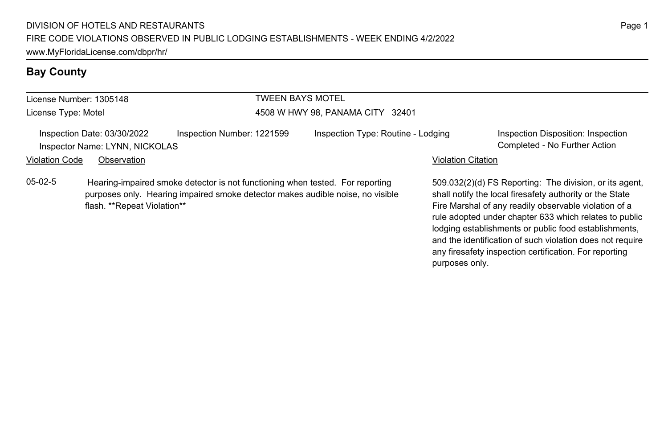# **Bay County**

flash. \*\*Repeat Violation\*\*

| License Number: 1305148                                       |                                                                                                                                                                 | <b>TWEEN BAYS MOTEL</b> |                                    |                           |                                                                                                                  |
|---------------------------------------------------------------|-----------------------------------------------------------------------------------------------------------------------------------------------------------------|-------------------------|------------------------------------|---------------------------|------------------------------------------------------------------------------------------------------------------|
| License Type: Motel                                           |                                                                                                                                                                 |                         | 4508 W HWY 98, PANAMA CITY 32401   |                           |                                                                                                                  |
| Inspection Date: 03/30/2022<br>Inspector Name: LYNN, NICKOLAS | Inspection Number: 1221599                                                                                                                                      |                         | Inspection Type: Routine - Lodging |                           | Inspection Disposition: Inspection<br>Completed - No Further Action                                              |
| Violation Code<br>Observation                                 |                                                                                                                                                                 |                         |                                    | <b>Violation Citation</b> |                                                                                                                  |
| 05-02-5                                                       | Hearing-impaired smoke detector is not functioning when tested. For reporting<br>purposes only. Hearing impaired smoke detector makes audible noise, no visible |                         |                                    |                           | 509.032(2)(d) FS Reporting: The division, or its age<br>shall notify the local firesafety authority or the State |

509.032(2)(d) FS Reporting: The division, or its agent, shall notify the local firesafety authority or the State Fire Marshal of any readily observable violation of a rule adopted under chapter 633 which relates to public lodging establishments or public food establishments, and the identification of such violation does not require any firesafety inspection certification. For reporting

purposes only.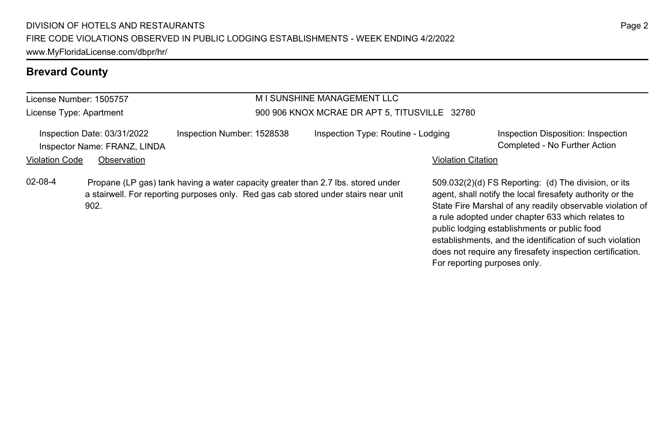## **Brevard County**

## License Number: 1505757

902.

License Type: Apartment

## M I SUNSHINE MANAGEMENT LLC 900 906 KNOX MCRAE DR APT 5, TITUSVILLE 32780

|                | Inspection Date: 03/31/2022  | Inspection Number: 1528538                                                          | Inspection Type: Routine - Lodging |                           | Inspection Disposition: Inspection                        |
|----------------|------------------------------|-------------------------------------------------------------------------------------|------------------------------------|---------------------------|-----------------------------------------------------------|
|                | Inspector Name: FRANZ, LINDA |                                                                                     |                                    |                           | Completed - No Further Action                             |
| Violation Code | Observation                  |                                                                                     |                                    | <b>Violation Citation</b> |                                                           |
| 02-08-4        |                              | Propane (LP gas) tank having a water capacity greater than 2.7 lbs, stored under    |                                    |                           | 509.032(2)(d) FS Reporting: (d) The division, or its      |
|                |                              | a stairwell. For reporting purposes only. Red gas cab stored under stairs near unit |                                    |                           | agent, shall notify the local firesafety authority or the |

agent, shall notify the local firesafety authority or the State Fire Marshal of any readily observable violation of a rule adopted under chapter 633 which relates to public lodging establishments or public food establishments, and the identification of such violation

does not require any firesafety inspection certification.

For reporting purposes only.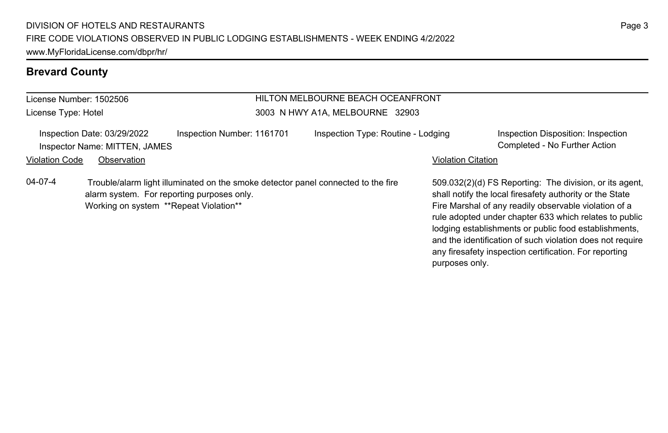## **Brevard County**

#### License Number: 1502506 License Type: Hotel HILTON MELBOURNE BEACH OCEANFRONT 3003 N HWY A1A, MELBOURNE 32903 Inspection Date: 03/29/2022 Inspection Number: 1161701 Inspection Type: Routine - Lodging Inspection Disposition: Inspection Inspector Name: MITTEN, JAMES Completed - No Further Action Violation Code Observation **Violation Code Observation** Violation Citation Citation Citation Citation Citation Citation Citation Citation Citation Citation Citation Citation Citation Citation Citation Citation Citation Cit 509.032(2)(d) FS Reporting: The division, or its agent, shall notify the local firesafety authority or the State Fire Marshal of any readily observable violation of a rule adopted under chapter 633 which relates to public lodging establishments or public food establishments, and the identification of such violation does not require 04-07-4 Trouble/alarm light illuminated on the smoke detector panel connected to the fire alarm system. For reporting purposes only. Working on system \*\*Repeat Violation\*\*

any firesafety inspection certification. For reporting

purposes only.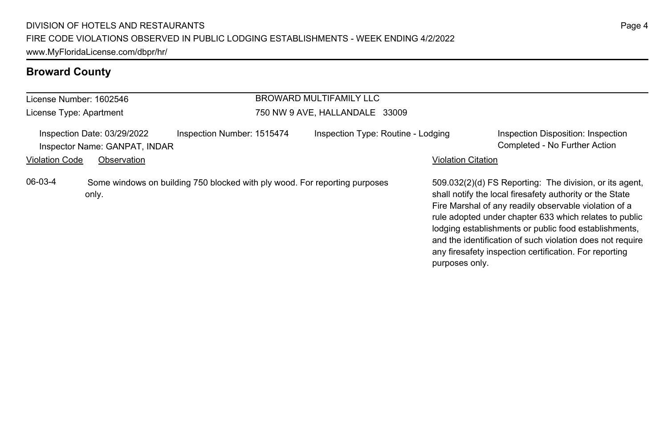| License Number: 1602546                                   |                                                              |                                                                            | BROWARD MULTIFAMILY LLC            |                           |                                                                                                                                                                                                                                                                                                                                                                                                                        |
|-----------------------------------------------------------|--------------------------------------------------------------|----------------------------------------------------------------------------|------------------------------------|---------------------------|------------------------------------------------------------------------------------------------------------------------------------------------------------------------------------------------------------------------------------------------------------------------------------------------------------------------------------------------------------------------------------------------------------------------|
| 750 NW 9 AVE, HALLANDALE 33009<br>License Type: Apartment |                                                              |                                                                            |                                    |                           |                                                                                                                                                                                                                                                                                                                                                                                                                        |
|                                                           | Inspection Date: 03/29/2022<br>Inspector Name: GANPAT, INDAR | Inspection Number: 1515474                                                 | Inspection Type: Routine - Lodging |                           | Inspection Disposition: Inspection<br>Completed - No Further Action                                                                                                                                                                                                                                                                                                                                                    |
| <b>Violation Code</b>                                     | Observation                                                  |                                                                            |                                    | <b>Violation Citation</b> |                                                                                                                                                                                                                                                                                                                                                                                                                        |
| 06-03-4                                                   | only.                                                        | Some windows on building 750 blocked with ply wood. For reporting purposes |                                    | purposes only.            | 509.032(2)(d) FS Reporting: The division, or its agent,<br>shall notify the local firesafety authority or the State<br>Fire Marshal of any readily observable violation of a<br>rule adopted under chapter 633 which relates to public<br>lodging establishments or public food establishments,<br>and the identification of such violation does not require<br>any firesafety inspection certification. For reporting |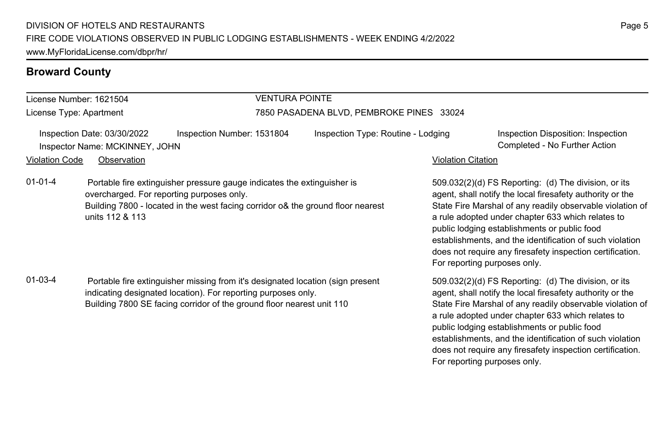License Number: 1621504 License Type: Apartment

#### VENTURA POINTE

#### 7850 PASADENA BLVD, PEMBROKE PINES 33024

Inspection Date: 03/30/2022 Inspection Number: 1531804 Inspection Type: Routine - Lodging Inspection Disposition: Inspection Inspector Name: MCKINNEY, JOHN Completed - No Further Action

#### Violation Code Observation **Violation Code** Observation **Violation** Violation Citation Citation Citation Citation

01-01-4 Portable fire extinguisher pressure gauge indicates the extinguisher is overcharged. For reporting purposes only. Building 7800 - located in the west facing corridor o& the ground floor nearest units 112 & 113

01-03-4 Portable fire extinguisher missing from it's designated location (sign present indicating designated location). For reporting purposes only. Building 7800 SE facing corridor of the ground floor nearest unit 110

509.032(2)(d) FS Reporting: (d) The division, or its agent, shall notify the local firesafety authority or the State Fire Marshal of any readily observable violation of a rule adopted under chapter 633 which relates to public lodging establishments or public food establishments, and the identification of such violation does not require any firesafety inspection certification. For reporting purposes only.

509.032(2)(d) FS Reporting: (d) The division, or its agent, shall notify the local firesafety authority or the State Fire Marshal of any readily observable violation of a rule adopted under chapter 633 which relates to public lodging establishments or public food establishments, and the identification of such violation does not require any firesafety inspection certification. For reporting purposes only.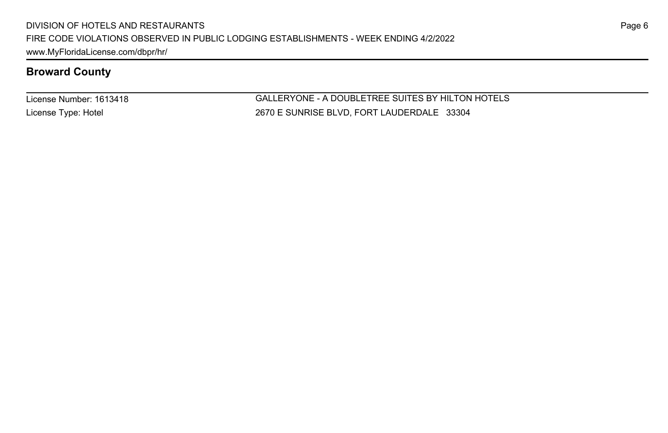License Number: 1613418 License Type: Hotel

GALLERYONE - A DOUBLETREE SUITES BY HILTON HOTELS 2670 E SUNRISE BLVD, FORT LAUDERDALE 33304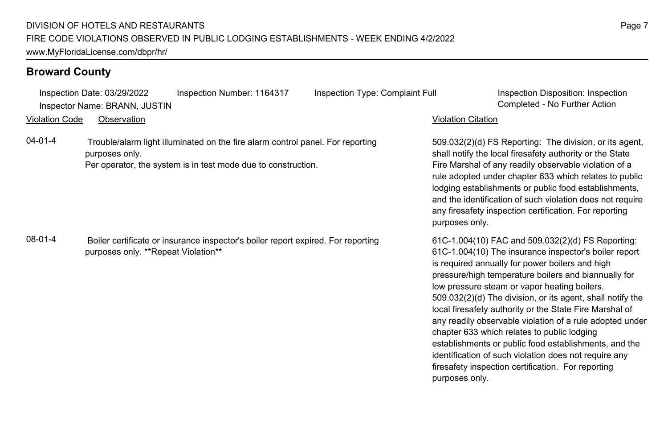Inspection Date: 03/29/2022 Inspection Number: 1164317 Inspection Type: Complaint Full Inspection Disposition: Inspection Inspector Name: BRANN, JUSTIN Completed - No Further Action

Violation Code Observation Violation Citation

04-01-4 Trouble/alarm light illuminated on the fire alarm control panel. For reporting purposes only. Per operator, the system is in test mode due to construction.

08-01-4 Boiler certificate or insurance inspector's boiler report expired. For reporting purposes only. \*\*Repeat Violation\*\*

509.032(2)(d) FS Reporting: The division, or its agent, shall notify the local firesafety authority or the State Fire Marshal of any readily observable violation of a rule adopted under chapter 633 which relates to public lodging establishments or public food establishments, and the identification of such violation does not require any firesafety inspection certification. For reporting purposes only.

61C-1.004(10) FAC and 509.032(2)(d) FS Reporting: 61C-1.004(10) The insurance inspector's boiler report is required annually for power boilers and high pressure/high temperature boilers and biannually for low pressure steam or vapor heating boilers. 509.032(2)(d) The division, or its agent, shall notify the local firesafety authority or the State Fire Marshal of any readily observable violation of a rule adopted under chapter 633 which relates to public lodging establishments or public food establishments, and the identification of such violation does not require any firesafety inspection certification. For reporting purposes only.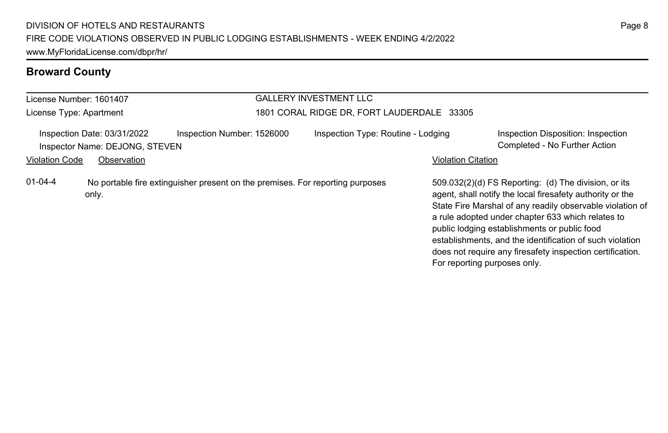| License Number: 1601407 |                                                               |                                                                               |                                            | <b>GALLERY INVESTMENT LLC</b>      |                              |                                                                                                                                                                                                                                                                                                                                                                                                              |  |
|-------------------------|---------------------------------------------------------------|-------------------------------------------------------------------------------|--------------------------------------------|------------------------------------|------------------------------|--------------------------------------------------------------------------------------------------------------------------------------------------------------------------------------------------------------------------------------------------------------------------------------------------------------------------------------------------------------------------------------------------------------|--|
| License Type: Apartment |                                                               |                                                                               | 1801 CORAL RIDGE DR, FORT LAUDERDALE 33305 |                                    |                              |                                                                                                                                                                                                                                                                                                                                                                                                              |  |
|                         | Inspection Date: 03/31/2022<br>Inspector Name: DEJONG, STEVEN | Inspection Number: 1526000                                                    |                                            | Inspection Type: Routine - Lodging |                              | Inspection Disposition: Inspection<br>Completed - No Further Action                                                                                                                                                                                                                                                                                                                                          |  |
| <b>Violation Code</b>   | Observation                                                   |                                                                               |                                            |                                    | <b>Violation Citation</b>    |                                                                                                                                                                                                                                                                                                                                                                                                              |  |
| $01 - 04 - 4$           | only.                                                         | No portable fire extinguisher present on the premises. For reporting purposes |                                            |                                    | For reporting purposes only. | 509.032(2)(d) FS Reporting: (d) The division, or its<br>agent, shall notify the local firesafety authority or the<br>State Fire Marshal of any readily observable violation of<br>a rule adopted under chapter 633 which relates to<br>public lodging establishments or public food<br>establishments, and the identification of such violation<br>does not require any firesafety inspection certification. |  |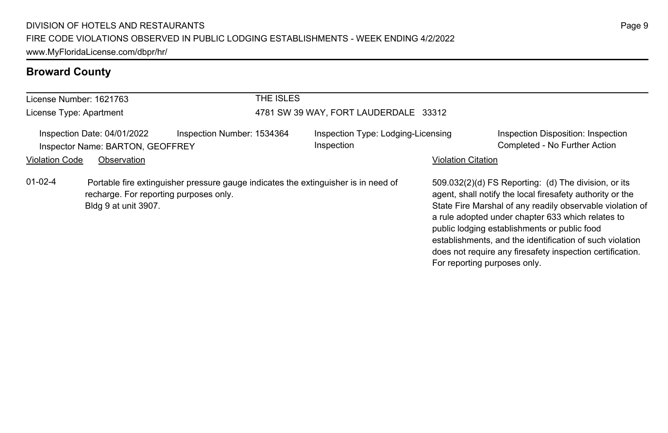| License Number: 1621763 |                                                                                | THE ISLES                                                                          |                                                  |                           |                                                                                                                                                                                                                                                                                                                                                                                                                                              |
|-------------------------|--------------------------------------------------------------------------------|------------------------------------------------------------------------------------|--------------------------------------------------|---------------------------|----------------------------------------------------------------------------------------------------------------------------------------------------------------------------------------------------------------------------------------------------------------------------------------------------------------------------------------------------------------------------------------------------------------------------------------------|
| License Type: Apartment |                                                                                |                                                                                    | 4781 SW 39 WAY, FORT LAUDERDALE 33312            |                           |                                                                                                                                                                                                                                                                                                                                                                                                                                              |
| <b>Violation Code</b>   | Inspection Date: 04/01/2022<br>Inspector Name: BARTON, GEOFFREY<br>Observation | Inspection Number: 1534364                                                         | Inspection Type: Lodging-Licensing<br>Inspection | <b>Violation Citation</b> | Inspection Disposition: Inspection<br>Completed - No Further Action                                                                                                                                                                                                                                                                                                                                                                          |
| $01 - 02 - 4$           | recharge. For reporting purposes only.<br>Bldg 9 at unit 3907.                 | Portable fire extinguisher pressure gauge indicates the extinguisher is in need of |                                                  |                           | 509.032(2)(d) FS Reporting: (d) The division, or its<br>agent, shall notify the local firesafety authority or the<br>State Fire Marshal of any readily observable violation of<br>a rule adopted under chapter 633 which relates to<br>public lodging establishments or public food<br>establishments, and the identification of such violation<br>does not require any firesafety inspection certification.<br>For reporting purposes only. |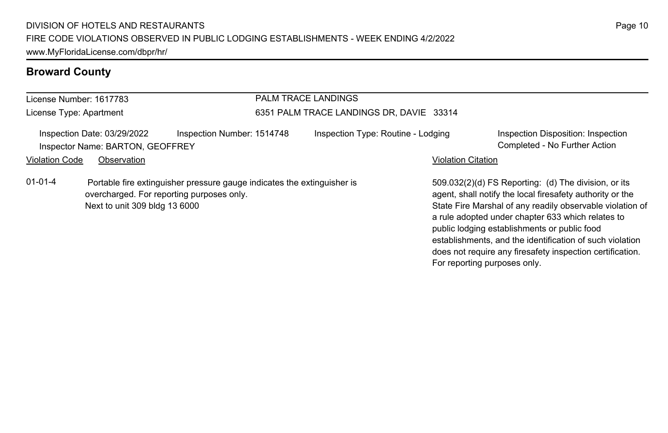| License Number: 1617783     |                                                                            |                                                                         | <b>PALM TRACE LANDINGS</b>               |                           |                                                                                                                                                                                                                                                                                     |
|-----------------------------|----------------------------------------------------------------------------|-------------------------------------------------------------------------|------------------------------------------|---------------------------|-------------------------------------------------------------------------------------------------------------------------------------------------------------------------------------------------------------------------------------------------------------------------------------|
| License Type: Apartment     |                                                                            |                                                                         | 6351 PALM TRACE LANDINGS DR, DAVIE 33314 |                           |                                                                                                                                                                                                                                                                                     |
| Inspection Date: 03/29/2022 | Inspector Name: BARTON, GEOFFREY                                           | Inspection Number: 1514748                                              | Inspection Type: Routine - Lodging       |                           | Inspection Disposition: Inspection<br>Completed - No Further Action                                                                                                                                                                                                                 |
| <b>Violation Code</b>       | Observation                                                                |                                                                         |                                          | <b>Violation Citation</b> |                                                                                                                                                                                                                                                                                     |
| $01 - 01 - 4$               | overcharged. For reporting purposes only.<br>Next to unit 309 bldg 13 6000 | Portable fire extinguisher pressure gauge indicates the extinguisher is |                                          |                           | 509.032(2)(d) FS Reporting: (d) The division, or its<br>agent, shall notify the local firesafety authority or the<br>State Fire Marshal of any readily observable violation of<br>a rule adopted under chapter 633 which relates to<br>public lodging establishments or public food |

establishments, and the identification of such violation does not require any firesafety inspection certification.

For reporting purposes only.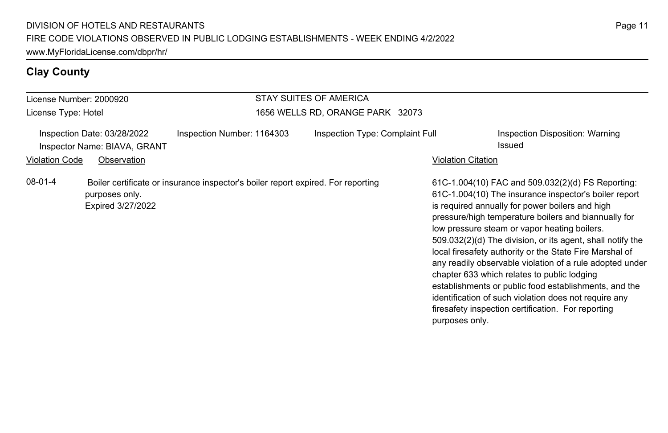# **Clay County**

| License Number: 2000920                                                              |                                     |                                                                                  | <b>STAY SUITES OF AMERICA</b>    |                    |                                                                                                                                                                                                                                                                                                                                                                                                                                                                                                                                                                                                                                                                                   |
|--------------------------------------------------------------------------------------|-------------------------------------|----------------------------------------------------------------------------------|----------------------------------|--------------------|-----------------------------------------------------------------------------------------------------------------------------------------------------------------------------------------------------------------------------------------------------------------------------------------------------------------------------------------------------------------------------------------------------------------------------------------------------------------------------------------------------------------------------------------------------------------------------------------------------------------------------------------------------------------------------------|
| License Type: Hotel                                                                  |                                     |                                                                                  | 1656 WELLS RD, ORANGE PARK 32073 |                    |                                                                                                                                                                                                                                                                                                                                                                                                                                                                                                                                                                                                                                                                                   |
| Inspection Date: 03/28/2022<br>Inspector Name: BIAVA, GRANT<br><b>Violation Code</b> | Observation                         | Inspection Number: 1164303                                                       | Inspection Type: Complaint Full  | Violation Citation | Inspection Disposition: Warning<br>Issued                                                                                                                                                                                                                                                                                                                                                                                                                                                                                                                                                                                                                                         |
| $08-01-4$                                                                            | purposes only.<br>Expired 3/27/2022 | Boiler certificate or insurance inspector's boiler report expired. For reporting |                                  | purposes only.     | 61C-1.004(10) FAC and 509.032(2)(d) FS Reporting:<br>61C-1.004(10) The insurance inspector's boiler report<br>is required annually for power boilers and high<br>pressure/high temperature boilers and biannually for<br>low pressure steam or vapor heating boilers.<br>509.032(2)(d) The division, or its agent, shall notify the<br>local firesafety authority or the State Fire Marshal of<br>any readily observable violation of a rule adopted under<br>chapter 633 which relates to public lodging<br>establishments or public food establishments, and the<br>identification of such violation does not require any<br>firesafety inspection certification. For reporting |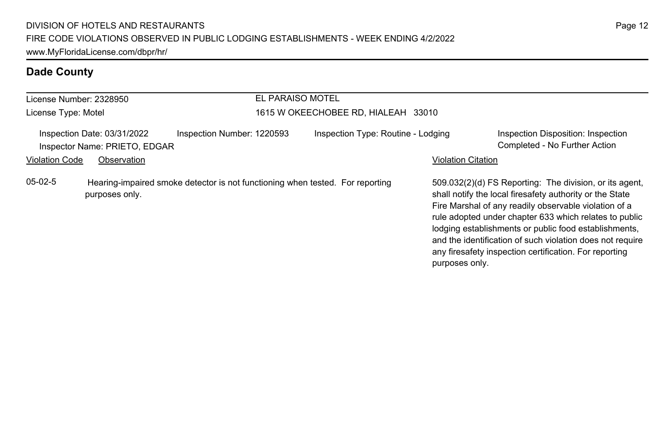| License Number: 2328950 |                                                                                                 |                            | EL PARAISO MOTEL |                                     |                           |                                                                                                                                                                                                                                                                                                                                                                                                                        |
|-------------------------|-------------------------------------------------------------------------------------------------|----------------------------|------------------|-------------------------------------|---------------------------|------------------------------------------------------------------------------------------------------------------------------------------------------------------------------------------------------------------------------------------------------------------------------------------------------------------------------------------------------------------------------------------------------------------------|
| License Type: Motel     |                                                                                                 |                            |                  | 1615 W OKEECHOBEE RD, HIALEAH 33010 |                           |                                                                                                                                                                                                                                                                                                                                                                                                                        |
|                         | Inspection Date: 03/31/2022<br>Inspector Name: PRIETO, EDGAR                                    | Inspection Number: 1220593 |                  | Inspection Type: Routine - Lodging  |                           | Inspection Disposition: Inspection<br>Completed - No Further Action                                                                                                                                                                                                                                                                                                                                                    |
| <b>Violation Code</b>   | Observation                                                                                     |                            |                  |                                     | <b>Violation Citation</b> |                                                                                                                                                                                                                                                                                                                                                                                                                        |
| $05-02-5$               | Hearing-impaired smoke detector is not functioning when tested. For reporting<br>purposes only. |                            |                  |                                     | purposes only.            | 509.032(2)(d) FS Reporting: The division, or its agent,<br>shall notify the local firesafety authority or the State<br>Fire Marshal of any readily observable violation of a<br>rule adopted under chapter 633 which relates to public<br>lodging establishments or public food establishments,<br>and the identification of such violation does not require<br>any firesafety inspection certification. For reporting |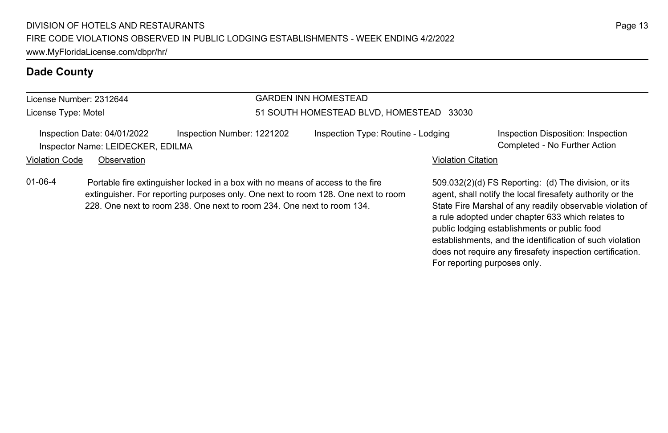# License Number: 2312644

License Type: Motel

# GARDEN INN HOMESTEAD

#### 51 SOUTH HOMESTEAD BLVD, HOMESTEAD 33030

Inspection Date: 04/01/2022 Inspection Number: 1221202 Inspection Type: Routine - Lodging Inspection Disposition: Inspection Inspector Name: LEIDECKER, EDILMA Completed - No Further Action

#### Violation Code Observation **Violation Code Observation** Violation Citation Citation Citation Citation Citation Citation Citation Citation Citation Citation Citation Citation Citation Citation Citation Citation Citation Cit

01-06-4 Portable fire extinguisher locked in a box with no means of access to the fire extinguisher. For reporting purposes only. One next to room 128. One next to room 228. One next to room 238. One next to room 234. One next to room 134.

509.032(2)(d) FS Reporting: (d) The division, or its agent, shall notify the local firesafety authority or the State Fire Marshal of any readily observable violation of a rule adopted under chapter 633 which relates to public lodging establishments or public food establishments, and the identification of such violation does not require any firesafety inspection certification. For reporting purposes only.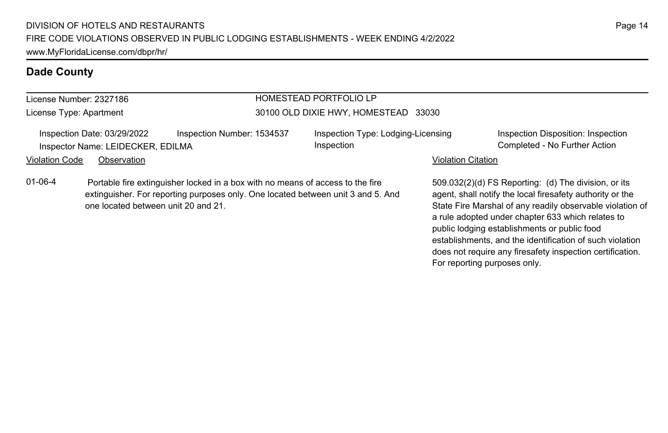extinguisher. For reporting purposes only. One located between unit 3 and 5. And

## **Dade County**

#### License Number: 2327186

License Type: Apartment

#### HOMESTEAD PORTFOLIO LP 30100 OLD DIXIE HWY, HOMESTEAD 33030

Inspection Date: 03/29/2022 Inspection Number: 1534537 Inspection Type: Lodging-Licensing Inspector Name: LEIDECKER, EDILMA **Completed - No Further Action** Completed - No Further Action

one located between unit 20 and 21.

01-06-4 Portable fire extinguisher locked in a box with no means of access to the fire

Inspection

Inspection Disposition: Inspection

#### Violation Code Observation **Violation Code Observation** Violation Citation Citation Citation Citation Citation Citation Citation Citation Citation Citation Citation Citation Citation Citation Citation Citation Citation Cit

509.032(2)(d) FS Reporting: (d) The division, or its agent, shall notify the local firesafety authority or the State Fire Marshal of any readily observable violation of a rule adopted under chapter 633 which relates to public lodging establishments or public food establishments, and the identification of such violation does not require any firesafety inspection certification. For reporting purposes only.

## Page 14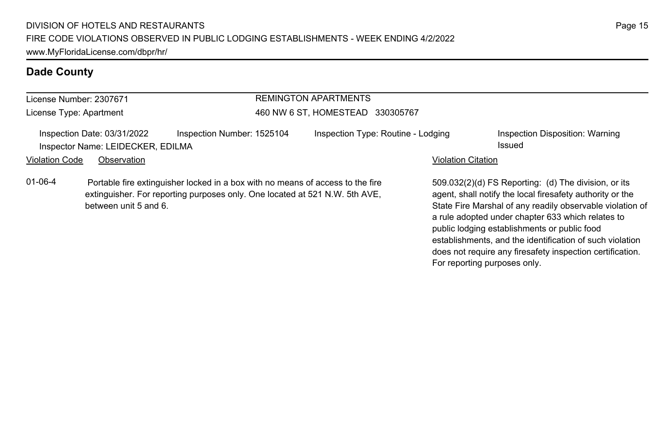| License Number: 2307671                                                                                  |                       |                                                                                                                                                               | <b>REMINGTON APARTMENTS</b>                                               |  |                                 |                                                                                                                                                                                |  |
|----------------------------------------------------------------------------------------------------------|-----------------------|---------------------------------------------------------------------------------------------------------------------------------------------------------------|---------------------------------------------------------------------------|--|---------------------------------|--------------------------------------------------------------------------------------------------------------------------------------------------------------------------------|--|
| License Type: Apartment                                                                                  |                       |                                                                                                                                                               | 460 NW 6 ST, HOMESTEAD 330305767                                          |  |                                 |                                                                                                                                                                                |  |
| Inspection Date: 03/31/2022<br>Inspector Name: LEIDECKER, EDILMA<br><b>Violation Code</b><br>Observation |                       | Inspection Number: 1525104                                                                                                                                    | Inspection Type: Routine - Lodging<br>Issued<br><b>Violation Citation</b> |  | Inspection Disposition: Warning |                                                                                                                                                                                |  |
| $01 - 06 - 4$                                                                                            | between unit 5 and 6. | Portable fire extinguisher locked in a box with no means of access to the fire<br>extinguisher. For reporting purposes only. One located at 521 N.W. 5th AVE, |                                                                           |  |                                 | 509.032(2)(d) FS Reporting: (d) The division, or its<br>agent, shall notify the local firesafety authority or the<br>State Fire Marshal of any readily observable violation of |  |

a rule adopted under chapter 633 which relates to public lodging establishments or public food

For reporting purposes only.

establishments, and the identification of such violation does not require any firesafety inspection certification.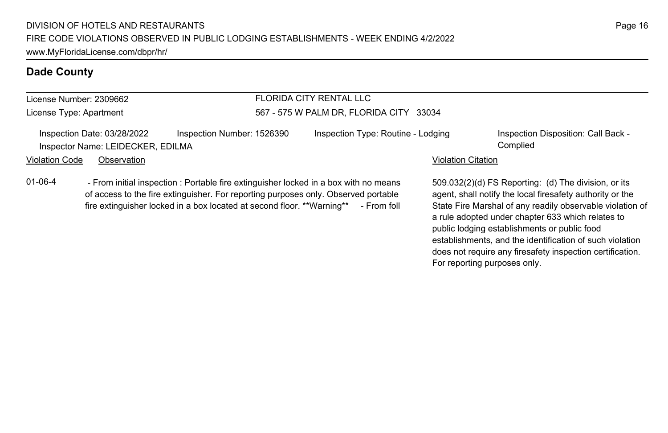### License Number: 2309662

License Type: Apartment

#### FLORIDA CITY RENTAL LLC 567 - 575 W PALM DR, FLORIDA CITY 33034

|                | Inspection Date: 03/28/2022       | Inspection Number: 1526390 | Inspection Type: Routine - Lodging | Inspection Disposition: Call Back - |
|----------------|-----------------------------------|----------------------------|------------------------------------|-------------------------------------|
|                | Inspector Name: LEIDECKER, EDILMA |                            |                                    | Complied                            |
| Violation Code | Observation                       |                            | <b>Violation Citation</b>          |                                     |

01-06-4 - From initial inspection : Portable fire extinguisher locked in a box with no means of access to the fire extinguisher. For reporting purposes only. Observed portable fire extinguisher locked in a box located at second floor. \*\*Warning\*\* - From foll

509.032(2)(d) FS Reporting: (d) The division, or its agent, shall notify the local firesafety authority or the State Fire Marshal of any readily observable violation of a rule adopted under chapter 633 which relates to public lodging establishments or public food establishments, and the identification of such violation does not require any firesafety inspection certification. For reporting purposes only.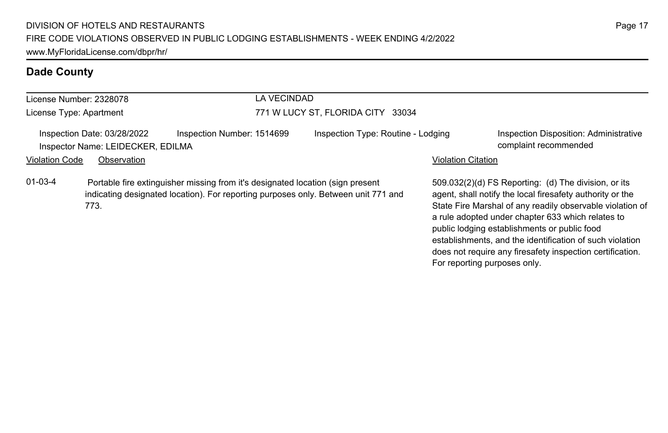| License Number: 2328078 |                                                                  |                                                                                | LA VECINDAD                       |                                                                                    |                           |                                                                                                                                                                                                                                     |  |
|-------------------------|------------------------------------------------------------------|--------------------------------------------------------------------------------|-----------------------------------|------------------------------------------------------------------------------------|---------------------------|-------------------------------------------------------------------------------------------------------------------------------------------------------------------------------------------------------------------------------------|--|
| License Type: Apartment |                                                                  |                                                                                | 771 W LUCY ST, FLORIDA CITY 33034 |                                                                                    |                           |                                                                                                                                                                                                                                     |  |
|                         | Inspection Date: 03/28/2022<br>Inspector Name: LEIDECKER, EDILMA | Inspection Number: 1514699                                                     |                                   | Inspection Type: Routine - Lodging                                                 |                           | Inspection Disposition: Administrative<br>complaint recommended                                                                                                                                                                     |  |
| <b>Violation Code</b>   | Observation                                                      |                                                                                |                                   |                                                                                    | <b>Violation Citation</b> |                                                                                                                                                                                                                                     |  |
| $01-03-4$               | 773.                                                             | Portable fire extinguisher missing from it's designated location (sign present |                                   | indicating designated location). For reporting purposes only. Between unit 771 and |                           | 509.032(2)(d) FS Reporting: (d) The division, or its<br>agent, shall notify the local firesafety authority or the<br>State Fire Marshal of any readily observable violation of<br>a rule adopted under chapter 633 which relates to |  |

public lodging establishments or public food

For reporting purposes only.

establishments, and the identification of such violation does not require any firesafety inspection certification.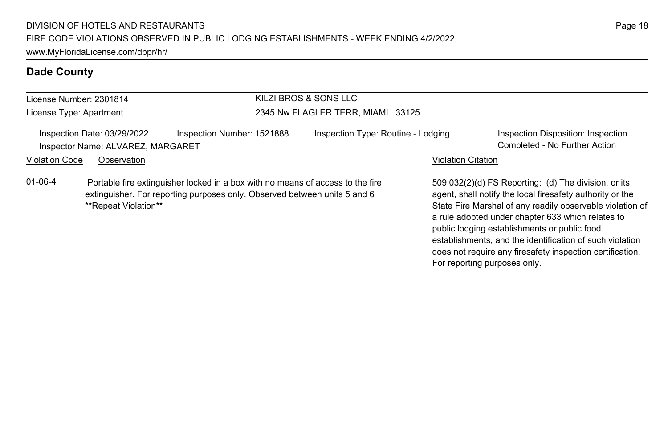| License Number: 2301814 |                                                                  |                                                                                                                                                             | KILZI BROS & SONS LLC              |                           |                                                                                                                                                                             |
|-------------------------|------------------------------------------------------------------|-------------------------------------------------------------------------------------------------------------------------------------------------------------|------------------------------------|---------------------------|-----------------------------------------------------------------------------------------------------------------------------------------------------------------------------|
| License Type: Apartment |                                                                  |                                                                                                                                                             | 2345 Nw FLAGLER TERR, MIAMI 33125  |                           |                                                                                                                                                                             |
|                         | Inspection Date: 03/29/2022<br>Inspector Name: ALVAREZ, MARGARET | Inspection Number: 1521888                                                                                                                                  | Inspection Type: Routine - Lodging |                           | Inspection Disposition: Inspection<br>Completed - No Further Action                                                                                                         |
| Violation Code          | Observation                                                      |                                                                                                                                                             |                                    | <b>Violation Citation</b> |                                                                                                                                                                             |
| 01-06-4                 | **Repeat Violation**                                             | Portable fire extinguisher locked in a box with no means of access to the fire<br>extinguisher. For reporting purposes only. Observed between units 5 and 6 |                                    |                           | 509.032(2)(d) FS Reporting: (d) The division, or its<br>agent, shall notify the local firesafety authority or the<br>State Fire Marshal of any readily observable violation |

agent, shall notify the local firesafety authority or the State Fire Marshal of any readily observable violation of a rule adopted under chapter 633 which relates to public lodging establishments or public food establishments, and the identification of such violation does not require any firesafety inspection certification. For reporting purposes only.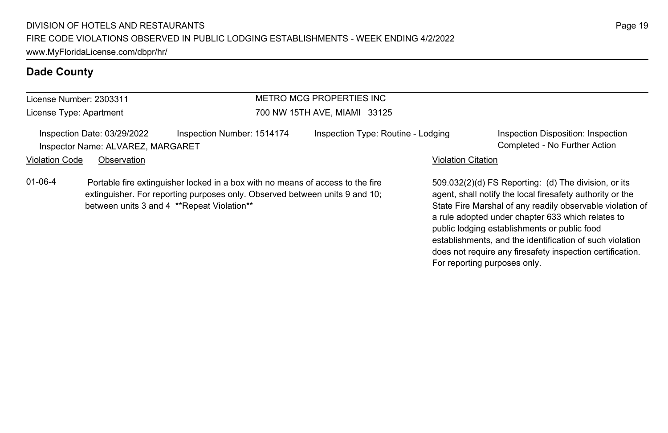| License Number: 2303311 |  |
|-------------------------|--|
| License Type: Apartment |  |

# METRO MCG PROPERTIES INC 700 NW 15TH AVE, MIAMI 33125

Inspection Date: 03/29/2022 Inspection Number: 1514174 Inspection Type: Routine - Lodging Inspection Disposition: Inspection Inspector Name: ALVAREZ, MARGARET Completed - No Further Action

Violation Code Observation **Violation Code Observation** Violation Citation Citation Citation Citation Citation Citation Citation Citation Citation Citation Citation Citation Citation Citation Citation Citation Citation Cit

01-06-4 Portable fire extinguisher locked in a box with no means of access to the fire extinguisher. For reporting purposes only. Observed between units 9 and 10; between units 3 and 4 \*\*Repeat Violation\*\*

509.032(2)(d) FS Reporting: (d) The division, or its agent, shall notify the local firesafety authority or the State Fire Marshal of any readily observable violation of a rule adopted under chapter 633 which relates to public lodging establishments or public food establishments, and the identification of such violation does not require any firesafety inspection certification. For reporting purposes only.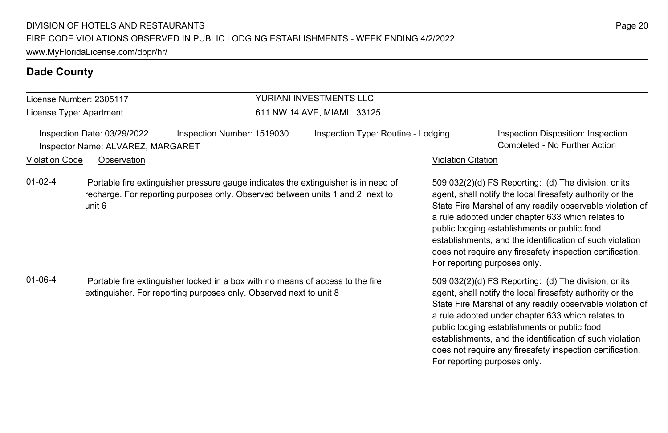#### License Number: 2305117 License Type: Apartment YURIANI INVESTMENTS LLC 611 NW 14 AVE, MIAMI 33125 Inspection Date: 03/29/2022 Inspection Number: 1519030 Inspection Type: Routine - Lodging Inspection Disposition: Inspection Inspector Name: ALVAREZ, MARGARET Completed - No Further Action Violation Code Observation **Violation Code** Observation **Violation** Violation Citation Citation Citation Citation 509.032(2)(d) FS Reporting: (d) The division, or its agent, shall notify the local firesafety authority or the State Fire Marshal of any readily observable violation of a rule adopted under chapter 633 which relates to public lodging establishments or public food establishments, and the identification of such violation does not require any firesafety inspection certification. For reporting purposes only. 01-02-4 Portable fire extinguisher pressure gauge indicates the extinguisher is in need of recharge. For reporting purposes only. Observed between units 1 and 2; next to unit 6 509.032(2)(d) FS Reporting: (d) The division, or its agent, shall notify the local firesafety authority or the State Fire Marshal of any readily observable violation of a rule adopted under chapter 633 which relates to 01-06-4 Portable fire extinguisher locked in a box with no means of access to the fire extinguisher. For reporting purposes only. Observed next to unit 8

public lodging establishments or public food

For reporting purposes only.

establishments, and the identification of such violation does not require any firesafety inspection certification.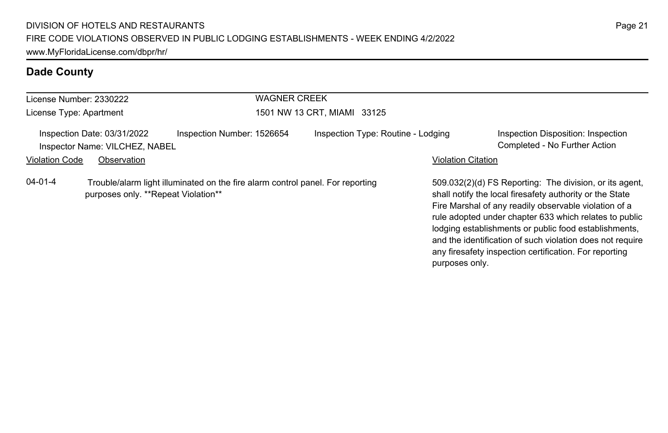| License Number: 2330222 |                                                               |                                                                                | <b>WAGNER CREEK</b>         |                                    |                           |                                                                                                                                                                                                                                                                                                                                                                                                                        |  |  |
|-------------------------|---------------------------------------------------------------|--------------------------------------------------------------------------------|-----------------------------|------------------------------------|---------------------------|------------------------------------------------------------------------------------------------------------------------------------------------------------------------------------------------------------------------------------------------------------------------------------------------------------------------------------------------------------------------------------------------------------------------|--|--|
| License Type: Apartment |                                                               |                                                                                | 1501 NW 13 CRT, MIAMI 33125 |                                    |                           |                                                                                                                                                                                                                                                                                                                                                                                                                        |  |  |
|                         | Inspection Date: 03/31/2022<br>Inspector Name: VILCHEZ, NABEL | Inspection Number: 1526654                                                     |                             | Inspection Type: Routine - Lodging |                           | Inspection Disposition: Inspection<br>Completed - No Further Action                                                                                                                                                                                                                                                                                                                                                    |  |  |
| <b>Violation Code</b>   | Observation                                                   |                                                                                |                             |                                    | <b>Violation Citation</b> |                                                                                                                                                                                                                                                                                                                                                                                                                        |  |  |
| $04 - 01 - 4$           | purposes only. **Repeat Violation**                           | Trouble/alarm light illuminated on the fire alarm control panel. For reporting |                             |                                    | purposes only.            | 509.032(2)(d) FS Reporting: The division, or its agent,<br>shall notify the local firesafety authority or the State<br>Fire Marshal of any readily observable violation of a<br>rule adopted under chapter 633 which relates to public<br>lodging establishments or public food establishments,<br>and the identification of such violation does not require<br>any firesafety inspection certification. For reporting |  |  |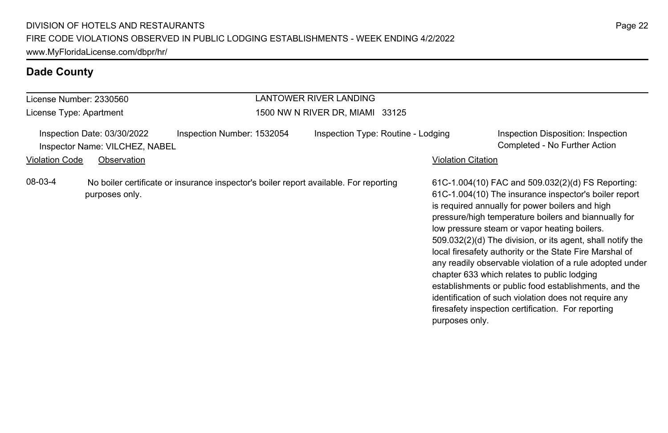| License Number: 2330560 |                                                                              |                            |                                 | LANTOWER RIVER LANDING                                                                |                    |                                                                                                                                                                                                                                                                                                                                                                                                                                                                                                                                                                                                                                                                                      |  |  |
|-------------------------|------------------------------------------------------------------------------|----------------------------|---------------------------------|---------------------------------------------------------------------------------------|--------------------|--------------------------------------------------------------------------------------------------------------------------------------------------------------------------------------------------------------------------------------------------------------------------------------------------------------------------------------------------------------------------------------------------------------------------------------------------------------------------------------------------------------------------------------------------------------------------------------------------------------------------------------------------------------------------------------|--|--|
| License Type: Apartment |                                                                              |                            | 1500 NW N RIVER DR, MIAMI 33125 |                                                                                       |                    |                                                                                                                                                                                                                                                                                                                                                                                                                                                                                                                                                                                                                                                                                      |  |  |
| <b>Violation Code</b>   | Inspection Date: 03/30/2022<br>Inspector Name: VILCHEZ, NABEL<br>Observation | Inspection Number: 1532054 |                                 | Inspection Type: Routine - Lodging                                                    | Violation Citation | Inspection Disposition: Inspection<br>Completed - No Further Action                                                                                                                                                                                                                                                                                                                                                                                                                                                                                                                                                                                                                  |  |  |
| 08-03-4                 | purposes only.                                                               |                            |                                 | No boiler certificate or insurance inspector's boiler report available. For reporting | purposes only.     | 61C-1.004(10) FAC and $509.032(2)$ (d) FS Reporting:<br>61C-1.004(10) The insurance inspector's boiler report<br>is required annually for power boilers and high<br>pressure/high temperature boilers and biannually for<br>low pressure steam or vapor heating boilers.<br>509.032(2)(d) The division, or its agent, shall notify the<br>local firesafety authority or the State Fire Marshal of<br>any readily observable violation of a rule adopted under<br>chapter 633 which relates to public lodging<br>establishments or public food establishments, and the<br>identification of such violation does not require any<br>firesafety inspection certification. For reporting |  |  |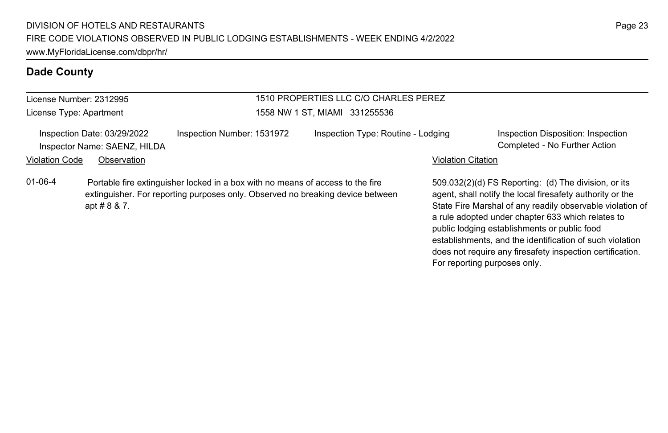## License Number: 2312995

License Type: Apartment

#### 1510 PROPERTIES LLC C/O CHARLES PEREZ 1558 NW 1 ST, MIAMI 331255536

Inspection Date: 03/29/2022 Inspection Number: 1531972 Inspection Type: Routine - Lodging Inspection Disposition: Inspection Inspector Name: SAENZ, HILDA Completed - No Further Action Violation Code Observation **Violation Code Observation** Violation Citation Citation Citation Citation Citation Citation Citation Citation Citation Citation Citation Citation Citation Citation Citation Citation Citation Cit

01-06-4 Portable fire extinguisher locked in a box with no means of access to the fire extinguisher. For reporting purposes only. Observed no breaking device between apt # 8 & 7.

509.032(2)(d) FS Reporting: (d) The division, or its agent, shall notify the local firesafety authority or the State Fire Marshal of any readily observable violation of a rule adopted under chapter 633 which relates to public lodging establishments or public food establishments, and the identification of such violation does not require any firesafety inspection certification. For reporting purposes only.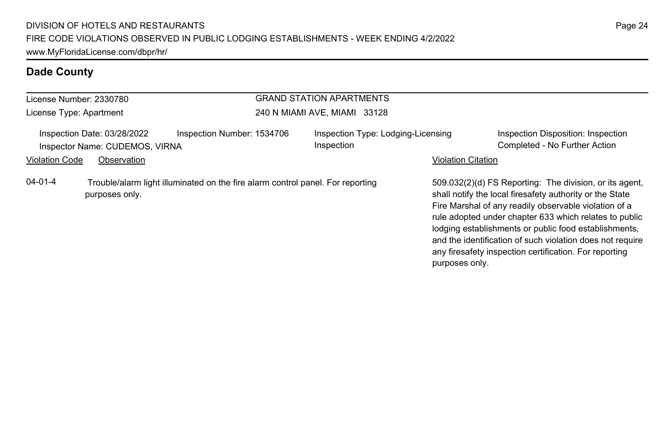| License Number: 2330780                                                                     |                |                                                                                | <b>GRAND STATION APARTMENTS</b> |                                                  |                           |                                                                                                                                                                                                                                                                                                                                                                                                                        |  |
|---------------------------------------------------------------------------------------------|----------------|--------------------------------------------------------------------------------|---------------------------------|--------------------------------------------------|---------------------------|------------------------------------------------------------------------------------------------------------------------------------------------------------------------------------------------------------------------------------------------------------------------------------------------------------------------------------------------------------------------------------------------------------------------|--|
| License Type: Apartment                                                                     |                |                                                                                |                                 | 240 N MIAMI AVE, MIAMI 33128                     |                           |                                                                                                                                                                                                                                                                                                                                                                                                                        |  |
| Inspection Date: 03/28/2022<br>Inspection Number: 1534706<br>Inspector Name: CUDEMOS, VIRNA |                |                                                                                |                                 | Inspection Type: Lodging-Licensing<br>Inspection |                           | Inspection Disposition: Inspection<br>Completed - No Further Action                                                                                                                                                                                                                                                                                                                                                    |  |
| <b>Violation Code</b>                                                                       | Observation    |                                                                                |                                 |                                                  | <b>Violation Citation</b> |                                                                                                                                                                                                                                                                                                                                                                                                                        |  |
| $04 - 01 - 4$                                                                               | purposes only. | Trouble/alarm light illuminated on the fire alarm control panel. For reporting |                                 |                                                  | purposes only.            | 509.032(2)(d) FS Reporting: The division, or its agent,<br>shall notify the local firesafety authority or the State<br>Fire Marshal of any readily observable violation of a<br>rule adopted under chapter 633 which relates to public<br>lodging establishments or public food establishments,<br>and the identification of such violation does not require<br>any firesafety inspection certification. For reporting |  |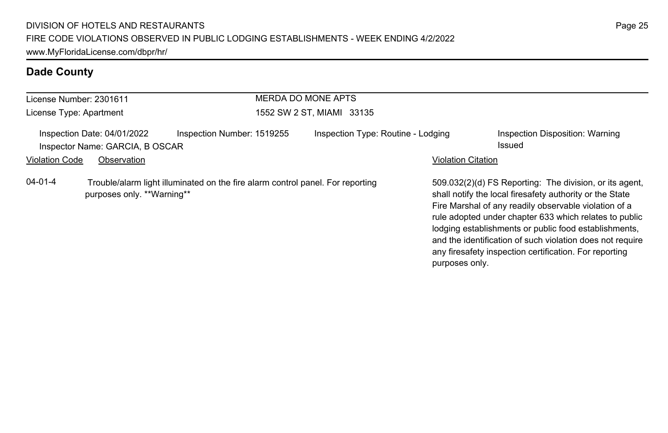| License Number: 2301611 |                                                                | <b>MERDA DO MONE APTS</b>                                                      |                                    |                           |                                                                                                                                                                                                                                                                                                                                                                                                                        |
|-------------------------|----------------------------------------------------------------|--------------------------------------------------------------------------------|------------------------------------|---------------------------|------------------------------------------------------------------------------------------------------------------------------------------------------------------------------------------------------------------------------------------------------------------------------------------------------------------------------------------------------------------------------------------------------------------------|
| License Type: Apartment |                                                                |                                                                                | 1552 SW 2 ST, MIAMI 33135          |                           |                                                                                                                                                                                                                                                                                                                                                                                                                        |
|                         | Inspection Date: 04/01/2022<br>Inspector Name: GARCIA, B OSCAR | Inspection Number: 1519255                                                     | Inspection Type: Routine - Lodging |                           | Inspection Disposition: Warning<br>Issued                                                                                                                                                                                                                                                                                                                                                                              |
| <b>Violation Code</b>   | Observation                                                    |                                                                                |                                    | <b>Violation Citation</b> |                                                                                                                                                                                                                                                                                                                                                                                                                        |
| 04-01-4                 | purposes only. **Warning**                                     | Trouble/alarm light illuminated on the fire alarm control panel. For reporting |                                    | purposes only.            | 509.032(2)(d) FS Reporting: The division, or its agent,<br>shall notify the local firesafety authority or the State<br>Fire Marshal of any readily observable violation of a<br>rule adopted under chapter 633 which relates to public<br>lodging establishments or public food establishments,<br>and the identification of such violation does not require<br>any firesafety inspection certification. For reporting |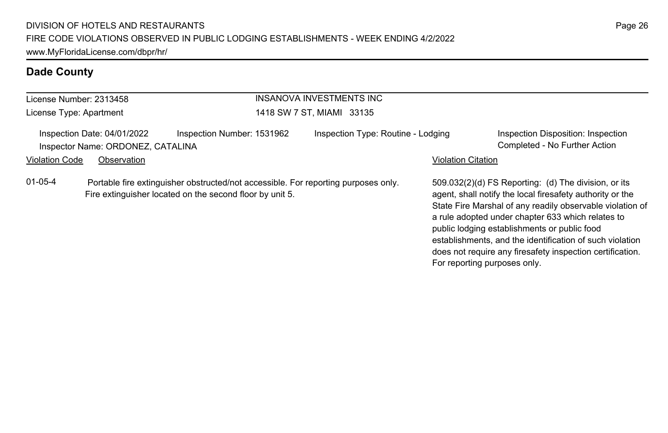| License Number: 2313458 |                                                                  |                                                                                                                                                | INSANOVA INVESTMENTS INC           |                           |                                                                                                                                                                                                                                                                                                                                                                                                                                              |
|-------------------------|------------------------------------------------------------------|------------------------------------------------------------------------------------------------------------------------------------------------|------------------------------------|---------------------------|----------------------------------------------------------------------------------------------------------------------------------------------------------------------------------------------------------------------------------------------------------------------------------------------------------------------------------------------------------------------------------------------------------------------------------------------|
| License Type: Apartment |                                                                  |                                                                                                                                                | 1418 SW 7 ST, MIAMI 33135          |                           |                                                                                                                                                                                                                                                                                                                                                                                                                                              |
|                         | Inspection Date: 04/01/2022<br>Inspector Name: ORDONEZ, CATALINA | Inspection Number: 1531962                                                                                                                     | Inspection Type: Routine - Lodging |                           | Inspection Disposition: Inspection<br>Completed - No Further Action                                                                                                                                                                                                                                                                                                                                                                          |
| <b>Violation Code</b>   | Observation                                                      |                                                                                                                                                |                                    | <b>Violation Citation</b> |                                                                                                                                                                                                                                                                                                                                                                                                                                              |
| $01 - 05 - 4$           |                                                                  | Portable fire extinguisher obstructed/not accessible. For reporting purposes only.<br>Fire extinguisher located on the second floor by unit 5. |                                    |                           | 509.032(2)(d) FS Reporting: (d) The division, or its<br>agent, shall notify the local firesafety authority or the<br>State Fire Marshal of any readily observable violation of<br>a rule adopted under chapter 633 which relates to<br>public lodging establishments or public food<br>establishments, and the identification of such violation<br>does not require any firesafety inspection certification.<br>For reporting purposes only. |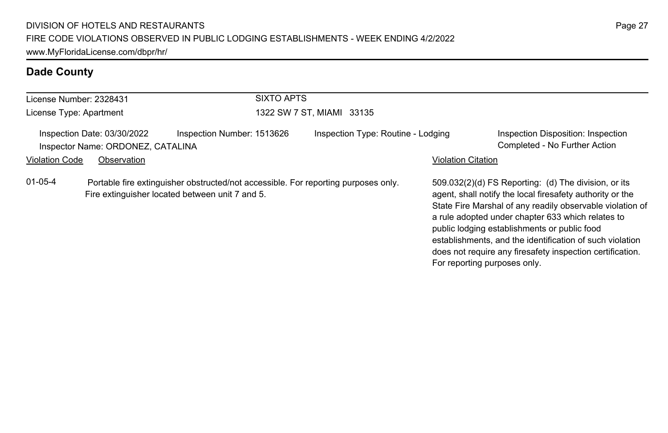| License Number: 2328431 |                                                                  | <b>SIXTO APTS</b>                                                                                                                     |                                    |                           |                                                                                                                                                                                                                                                                                                                                                                                                                                              |
|-------------------------|------------------------------------------------------------------|---------------------------------------------------------------------------------------------------------------------------------------|------------------------------------|---------------------------|----------------------------------------------------------------------------------------------------------------------------------------------------------------------------------------------------------------------------------------------------------------------------------------------------------------------------------------------------------------------------------------------------------------------------------------------|
| License Type: Apartment |                                                                  |                                                                                                                                       | 1322 SW 7 ST, MIAMI 33135          |                           |                                                                                                                                                                                                                                                                                                                                                                                                                                              |
|                         | Inspection Date: 03/30/2022<br>Inspector Name: ORDONEZ, CATALINA | Inspection Number: 1513626                                                                                                            | Inspection Type: Routine - Lodging |                           | Inspection Disposition: Inspection<br>Completed - No Further Action                                                                                                                                                                                                                                                                                                                                                                          |
| <b>Violation Code</b>   | Observation                                                      |                                                                                                                                       |                                    | <b>Violation Citation</b> |                                                                                                                                                                                                                                                                                                                                                                                                                                              |
| $01 - 05 - 4$           |                                                                  | Portable fire extinguisher obstructed/not accessible. For reporting purposes only.<br>Fire extinguisher located between unit 7 and 5. |                                    |                           | 509.032(2)(d) FS Reporting: (d) The division, or its<br>agent, shall notify the local firesafety authority or the<br>State Fire Marshal of any readily observable violation of<br>a rule adopted under chapter 633 which relates to<br>public lodging establishments or public food<br>establishments, and the identification of such violation<br>does not require any firesafety inspection certification.<br>For reporting purposes only. |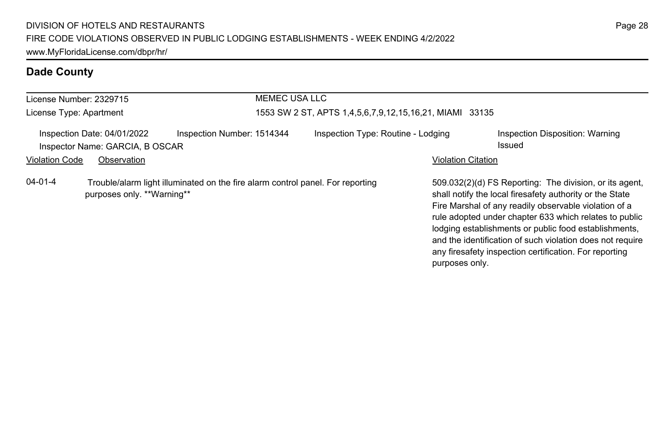| License Number: 2329715 |                                                                |                                                                                | <b>MEMEC USA LLC</b> |                                                         |                           |                                                                                                                                                                                                                                                                                                                                                                                                                        |
|-------------------------|----------------------------------------------------------------|--------------------------------------------------------------------------------|----------------------|---------------------------------------------------------|---------------------------|------------------------------------------------------------------------------------------------------------------------------------------------------------------------------------------------------------------------------------------------------------------------------------------------------------------------------------------------------------------------------------------------------------------------|
| License Type: Apartment |                                                                |                                                                                |                      | 1553 SW 2 ST, APTS 1,4,5,6,7,9,12,15,16,21, MIAMI 33135 |                           |                                                                                                                                                                                                                                                                                                                                                                                                                        |
|                         | Inspection Date: 04/01/2022<br>Inspector Name: GARCIA, B OSCAR | Inspection Number: 1514344                                                     |                      | Inspection Type: Routine - Lodging                      |                           | Inspection Disposition: Warning<br>Issued                                                                                                                                                                                                                                                                                                                                                                              |
| <b>Violation Code</b>   | Observation                                                    |                                                                                |                      |                                                         | <b>Violation Citation</b> |                                                                                                                                                                                                                                                                                                                                                                                                                        |
| $04 - 01 - 4$           | purposes only. **Warning**                                     | Trouble/alarm light illuminated on the fire alarm control panel. For reporting |                      |                                                         | purposes only.            | 509.032(2)(d) FS Reporting: The division, or its agent.<br>shall notify the local firesafety authority or the State<br>Fire Marshal of any readily observable violation of a<br>rule adopted under chapter 633 which relates to public<br>lodging establishments or public food establishments,<br>and the identification of such violation does not require<br>any firesafety inspection certification. For reporting |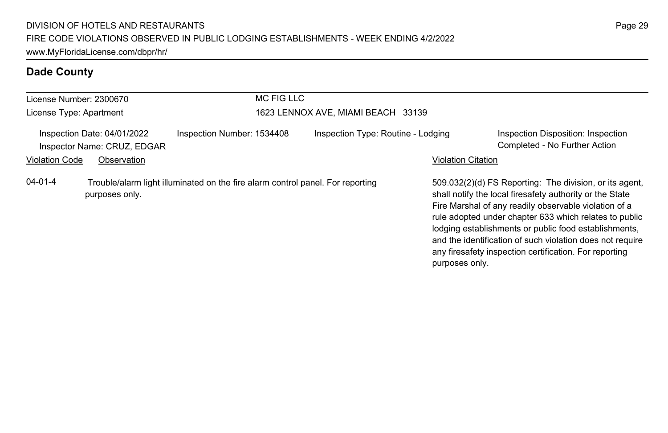| License Number: 2300670                                    |                | <b>MC FIG LLC</b>                                                              |                                    |                           |                                                                                                                                                                                                                                                                                                                                                                                                                        |
|------------------------------------------------------------|----------------|--------------------------------------------------------------------------------|------------------------------------|---------------------------|------------------------------------------------------------------------------------------------------------------------------------------------------------------------------------------------------------------------------------------------------------------------------------------------------------------------------------------------------------------------------------------------------------------------|
| License Type: Apartment                                    |                |                                                                                | 1623 LENNOX AVE, MIAMI BEACH 33139 |                           |                                                                                                                                                                                                                                                                                                                                                                                                                        |
| Inspection Date: 04/01/2022<br>Inspector Name: CRUZ, EDGAR |                | Inspection Number: 1534408                                                     | Inspection Type: Routine - Lodging |                           | Inspection Disposition: Inspection<br>Completed - No Further Action                                                                                                                                                                                                                                                                                                                                                    |
| <b>Violation Code</b>                                      | Observation    |                                                                                |                                    | <b>Violation Citation</b> |                                                                                                                                                                                                                                                                                                                                                                                                                        |
| $04 - 01 - 4$                                              | purposes only. | Trouble/alarm light illuminated on the fire alarm control panel. For reporting |                                    | purposes only.            | 509.032(2)(d) FS Reporting: The division, or its agent,<br>shall notify the local firesafety authority or the State<br>Fire Marshal of any readily observable violation of a<br>rule adopted under chapter 633 which relates to public<br>lodging establishments or public food establishments,<br>and the identification of such violation does not require<br>any firesafety inspection certification. For reporting |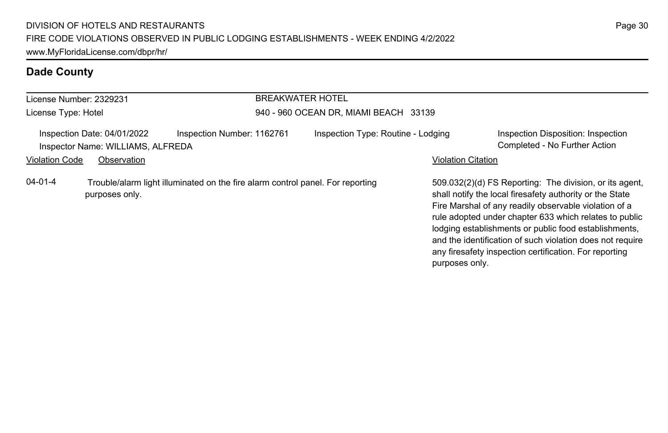| License Number: 2329231 |                                                                  | <b>BREAKWATER HOTEL</b>                                                        |                                       |                           |                                                                                                                                                                                                                                                                                                                                                                                                                        |
|-------------------------|------------------------------------------------------------------|--------------------------------------------------------------------------------|---------------------------------------|---------------------------|------------------------------------------------------------------------------------------------------------------------------------------------------------------------------------------------------------------------------------------------------------------------------------------------------------------------------------------------------------------------------------------------------------------------|
| License Type: Hotel     |                                                                  |                                                                                | 940 - 960 OCEAN DR, MIAMI BEACH 33139 |                           |                                                                                                                                                                                                                                                                                                                                                                                                                        |
|                         | Inspection Date: 04/01/2022<br>Inspector Name: WILLIAMS, ALFREDA | Inspection Number: 1162761                                                     | Inspection Type: Routine - Lodging    |                           | Inspection Disposition: Inspection<br>Completed - No Further Action                                                                                                                                                                                                                                                                                                                                                    |
| <b>Violation Code</b>   | Observation                                                      |                                                                                |                                       | <b>Violation Citation</b> |                                                                                                                                                                                                                                                                                                                                                                                                                        |
| $04 - 01 - 4$           | purposes only.                                                   | Trouble/alarm light illuminated on the fire alarm control panel. For reporting |                                       |                           | 509.032(2)(d) FS Reporting: The division, or its agent.<br>shall notify the local firesafety authority or the State<br>Fire Marshal of any readily observable violation of a<br>rule adopted under chapter 633 which relates to public<br>lodging establishments or public food establishments,<br>and the identification of such violation does not require<br>any firesafety inspection certification. For reporting |

purposes only.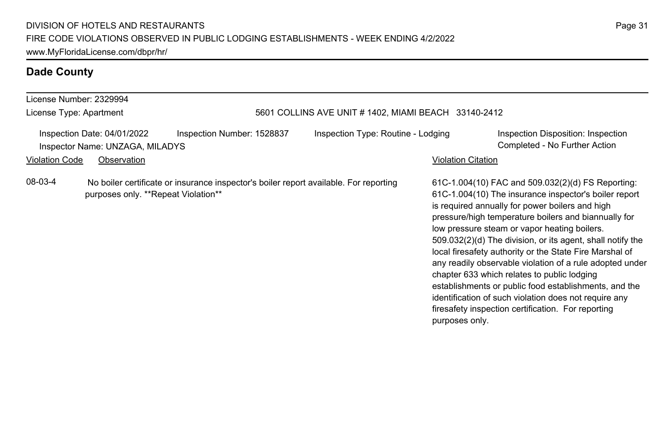#### License Number: 2329994 License Type: Apartment 5601 COLLINS AVE UNIT # 1402, MIAMI BEACH 33140-2412 Inspection Date: 04/01/2022 Inspection Number: 1528837 Inspection Type: Routine - Lodging Inspection Disposition: Inspection Inspector Name: UNZAGA, MILADYS Completed - No Further Action Violation Code Observation **Violation Code** Observation **Violation** Violation Citation Citation Citation Citation 61C-1.004(10) FAC and 509.032(2)(d) FS Reporting: 61C-1.004(10) The insurance inspector's boiler report is required annually for power boilers and high pressure/high temperature boilers and biannually for low pressure steam or vapor heating boilers. 509.032(2)(d) The division, or its agent, shall notify the local firesafety authority or the State Fire Marshal of any readily observable violation of a rule adopted under chapter 633 which relates to public lodging establishments or public food establishments, and the identification of such violation does not require any firesafety inspection certification. For reporting purposes only. 08-03-4 No boiler certificate or insurance inspector's boiler report available. For reporting purposes only. \*\*Repeat Violation\*\*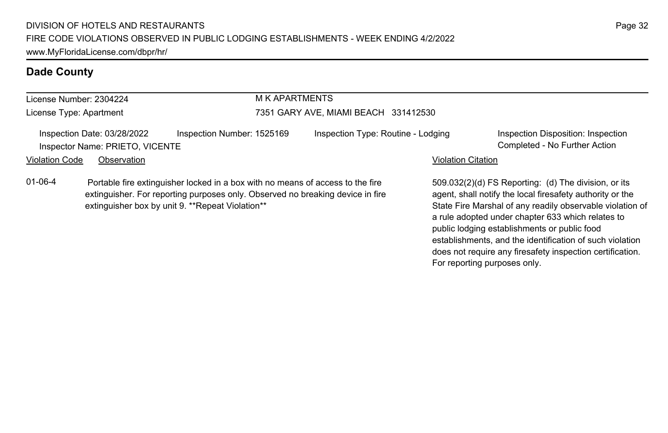# License Number: 2304224

#### M K APARTMENTS

#### License Type: Apartment

#### 7351 GARY AVE, MIAMI BEACH 331412530

Inspection Date: 03/28/2022 Inspection Number: 1525169 Inspection Type: Routine - Lodging Inspection Disposition: Inspection Inspector Name: PRIETO, VICENTE Completed - No Further Action

#### Violation Code Observation **Violation Code Observation** Violation Citation Citation Citation Citation Citation Citation Citation Citation Citation Citation Citation Citation Citation Citation Citation Citation Citation Cit

01-06-4 Portable fire extinguisher locked in a box with no means of access to the fire extinguisher. For reporting purposes only. Observed no breaking device in fire extinguisher box by unit 9. \*\*Repeat Violation\*\*

509.032(2)(d) FS Reporting: (d) The division, or its agent, shall notify the local firesafety authority or the State Fire Marshal of any readily observable violation of a rule adopted under chapter 633 which relates to public lodging establishments or public food establishments, and the identification of such violation does not require any firesafety inspection certification. For reporting purposes only.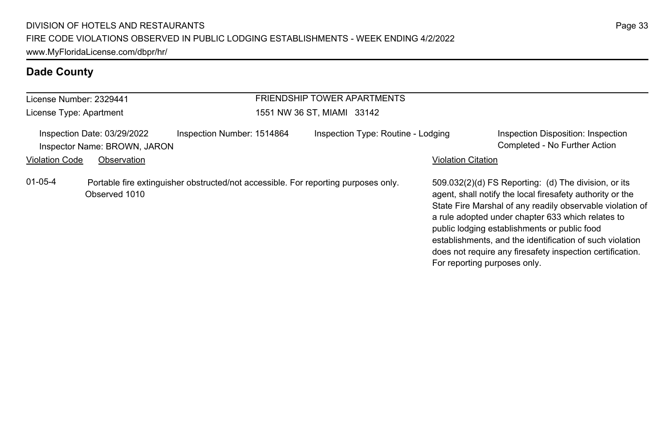| License Number: 2329441 |                                                                                                     |                            | <b>FRIENDSHIP TOWER APARTMENTS</b> |                              |                                                                                                                                                                                                                                                                                                                                                                                                              |
|-------------------------|-----------------------------------------------------------------------------------------------------|----------------------------|------------------------------------|------------------------------|--------------------------------------------------------------------------------------------------------------------------------------------------------------------------------------------------------------------------------------------------------------------------------------------------------------------------------------------------------------------------------------------------------------|
| License Type: Apartment |                                                                                                     |                            | 1551 NW 36 ST, MIAMI 33142         |                              |                                                                                                                                                                                                                                                                                                                                                                                                              |
| <b>Violation Code</b>   | Inspection Date: 03/29/2022<br>Inspector Name: BROWN, JARON<br>Observation                          | Inspection Number: 1514864 | Inspection Type: Routine - Lodging | <b>Violation Citation</b>    | Inspection Disposition: Inspection<br>Completed - No Further Action                                                                                                                                                                                                                                                                                                                                          |
| $01 - 05 - 4$           | Portable fire extinguisher obstructed/not accessible. For reporting purposes only.<br>Observed 1010 |                            |                                    | For reporting purposes only. | 509.032(2)(d) FS Reporting: (d) The division, or its<br>agent, shall notify the local firesafety authority or the<br>State Fire Marshal of any readily observable violation of<br>a rule adopted under chapter 633 which relates to<br>public lodging establishments or public food<br>establishments, and the identification of such violation<br>does not require any firesafety inspection certification. |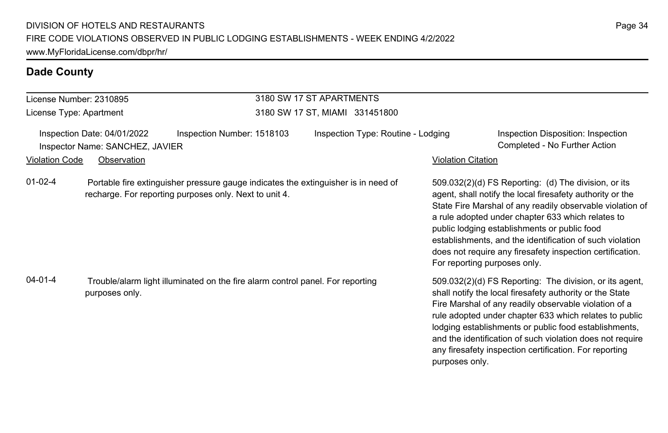#### License Number: 2310895 License Type: Apartment 3180 SW 17 ST APARTMENTS 3180 SW 17 ST, MIAMI 331451800 Inspection Date: 04/01/2022 Inspection Number: 1518103 Inspection Type: Routine - Lodging Inspection Disposition: Inspection Inspector Name: SANCHEZ, JAVIER Completed - No Further Action Violation Code Observation **Violation Code** Observation **Violation** Violation Citation Citation Citation Citation 509.032(2)(d) FS Reporting: (d) The division, or its agent, shall notify the local firesafety authority or the State Fire Marshal of any readily observable violation of a rule adopted under chapter 633 which relates to public lodging establishments or public food establishments, and the identification of such violation does not require any firesafety inspection certification. For reporting purposes only. 01-02-4 Portable fire extinguisher pressure gauge indicates the extinguisher is in need of recharge. For reporting purposes only. Next to unit 4. 509.032(2)(d) FS Reporting: The division, or its agent, shall notify the local firesafety authority or the State Fire Marshal of any readily observable violation of a rule adopted under chapter 633 which relates to public lodging establishments or public food establishments, and the identification of such violation does not require any firesafety inspection certification. For reporting purposes only. 04-01-4 Trouble/alarm light illuminated on the fire alarm control panel. For reporting purposes only.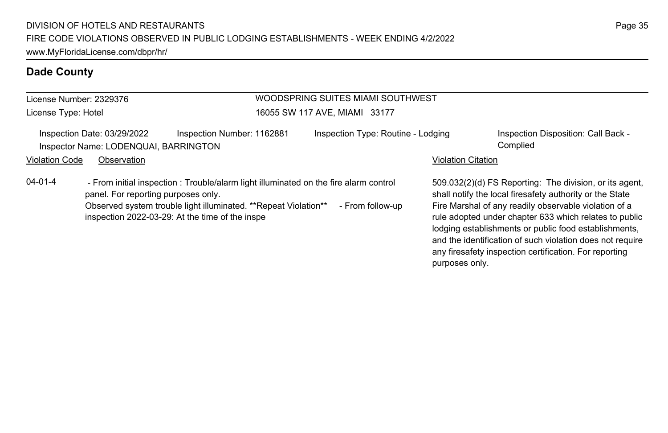| License Number: 2329376<br>License Type: Hotel |                                                                      |                                                                                                                                                                                                            | WOODSPRING SUITES MIAMI SOUTHWEST<br>16055 SW 117 AVE, MIAMI 33177 |                           |                                                                                                                                                                                                                                                                                                                                                              |
|------------------------------------------------|----------------------------------------------------------------------|------------------------------------------------------------------------------------------------------------------------------------------------------------------------------------------------------------|--------------------------------------------------------------------|---------------------------|--------------------------------------------------------------------------------------------------------------------------------------------------------------------------------------------------------------------------------------------------------------------------------------------------------------------------------------------------------------|
|                                                | Inspection Date: 03/29/2022<br>Inspector Name: LODENQUAI, BARRINGTON | Inspection Number: 1162881                                                                                                                                                                                 | Inspection Type: Routine - Lodging                                 |                           | Inspection Disposition: Call Back -<br>Complied                                                                                                                                                                                                                                                                                                              |
| <b>Violation Code</b>                          | Observation                                                          |                                                                                                                                                                                                            |                                                                    | <b>Violation Citation</b> |                                                                                                                                                                                                                                                                                                                                                              |
| $04 - 01 - 4$                                  | panel. For reporting purposes only.                                  | - From initial inspection: Trouble/alarm light illuminated on the fire alarm control<br>Observed system trouble light illuminated. **Repeat Violation**<br>inspection 2022-03-29: At the time of the inspe | - From follow-up                                                   |                           | 509.032(2)(d) FS Reporting: The division, or its agent,<br>shall notify the local firesafety authority or the State<br>Fire Marshal of any readily observable violation of a<br>rule adopted under chapter 633 which relates to public<br>lodging establishments or public food establishments,<br>and the identification of such violation does not require |

any firesafety inspection certification. For reporting

purposes only.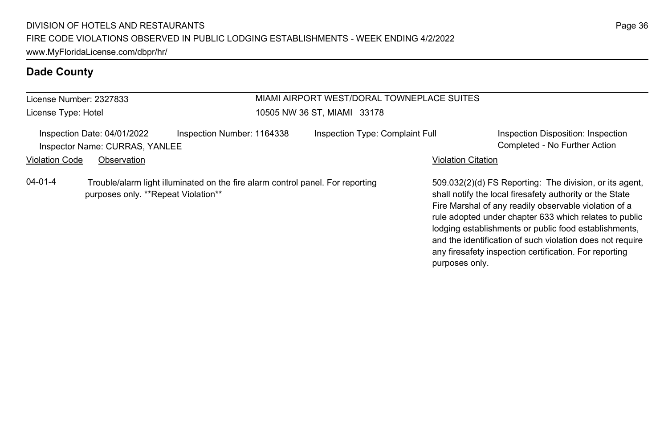| License Number: 2327833 |                                                                                                                       |                            | MIAMI AIRPORT WEST/DORAL TOWNEPLACE SUITES<br>10505 NW 36 ST, MIAMI 33178 |                           |                                                                                                                                                                                                                                                                                                 |  |
|-------------------------|-----------------------------------------------------------------------------------------------------------------------|----------------------------|---------------------------------------------------------------------------|---------------------------|-------------------------------------------------------------------------------------------------------------------------------------------------------------------------------------------------------------------------------------------------------------------------------------------------|--|
| License Type: Hotel     |                                                                                                                       |                            |                                                                           |                           |                                                                                                                                                                                                                                                                                                 |  |
|                         | Inspection Date: 04/01/2022<br>Inspector Name: CURRAS, YANLEE                                                         | Inspection Number: 1164338 | Inspection Type: Complaint Full                                           |                           | Inspection Disposition: Inspection<br>Completed - No Further Action                                                                                                                                                                                                                             |  |
| <b>Violation Code</b>   | Observation                                                                                                           |                            |                                                                           | <b>Violation Citation</b> |                                                                                                                                                                                                                                                                                                 |  |
| $04 - 01 - 4$           | Trouble/alarm light illuminated on the fire alarm control panel. For reporting<br>purposes only. **Repeat Violation** |                            |                                                                           |                           | 509.032(2)(d) FS Reporting: The division, or its agent.<br>shall notify the local firesafety authority or the State<br>Fire Marshal of any readily observable violation of a<br>rule adopted under chapter 633 which relates to public<br>lodging establishments or public food establishments, |  |

and the identification of such violation does not require any firesafety inspection certification. For reporting

purposes only.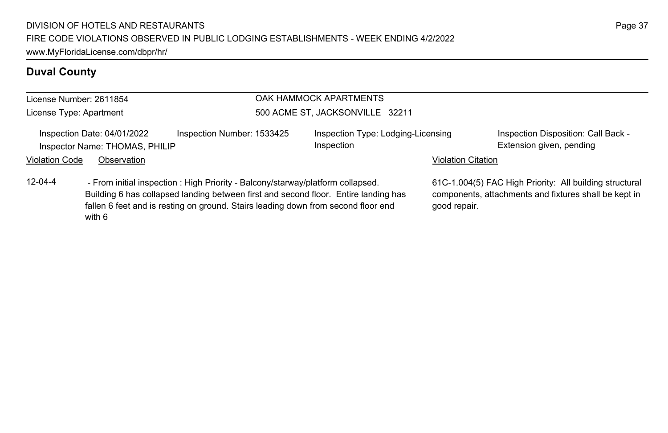# **Duval County**

|                         | License Number: 2611854                                                                   |                                                                                                                                                                          | OAK HAMMOCK APARTMENTS                           |                                                                                                                  |                                                                 |  |  |
|-------------------------|-------------------------------------------------------------------------------------------|--------------------------------------------------------------------------------------------------------------------------------------------------------------------------|--------------------------------------------------|------------------------------------------------------------------------------------------------------------------|-----------------------------------------------------------------|--|--|
| License Type: Apartment |                                                                                           |                                                                                                                                                                          | 500 ACME ST, JACKSONVILLE 32211                  |                                                                                                                  |                                                                 |  |  |
|                         | Inspection Date: 04/01/2022<br>Inspector Name: THOMAS, PHILIP                             | Inspection Number: 1533425                                                                                                                                               | Inspection Type: Lodging-Licensing<br>Inspection |                                                                                                                  | Inspection Disposition: Call Back -<br>Extension given, pending |  |  |
| Violation Code          | Observation                                                                               |                                                                                                                                                                          |                                                  | <b>Violation Citation</b>                                                                                        |                                                                 |  |  |
| $12 - 04 - 4$           | - From initial inspection : High Priority - Balcony/starway/platform collapsed.<br>with 6 | Building 6 has collapsed landing between first and second floor. Entire landing has<br>fallen 6 feet and is resting on ground. Stairs leading down from second floor end | good repair.                                     | 61C-1.004(5) FAC High Priority: All building structural<br>components, attachments and fixtures shall be kept in |                                                                 |  |  |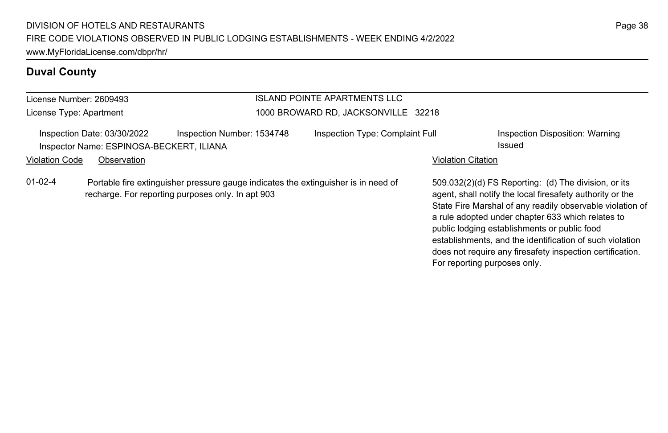# **Duval County**

| License Number: 2609493<br>License Type: Apartment |                                                                                                                                                                  |                            | <b>ISLAND POINTE APARTMENTS LLC</b><br>1000 BROWARD RD. JACKSONVILLE 32218 |                                                                                                                                                                                                                                                                                                                                                                                                                                              |                                           |  |
|----------------------------------------------------|------------------------------------------------------------------------------------------------------------------------------------------------------------------|----------------------------|----------------------------------------------------------------------------|----------------------------------------------------------------------------------------------------------------------------------------------------------------------------------------------------------------------------------------------------------------------------------------------------------------------------------------------------------------------------------------------------------------------------------------------|-------------------------------------------|--|
|                                                    | Inspection Date: 03/30/2022<br>Inspector Name: ESPINOSA-BECKERT, ILIANA                                                                                          | Inspection Number: 1534748 | Inspection Type: Complaint Full                                            |                                                                                                                                                                                                                                                                                                                                                                                                                                              | Inspection Disposition: Warning<br>Issued |  |
|                                                    | Observation                                                                                                                                                      |                            |                                                                            | <b>Violation Citation</b>                                                                                                                                                                                                                                                                                                                                                                                                                    |                                           |  |
| $01-02-4$                                          | <b>Violation Code</b><br>Portable fire extinguisher pressure gauge indicates the extinguisher is in need of<br>recharge. For reporting purposes only. In apt 903 |                            |                                                                            | 509.032(2)(d) FS Reporting: (d) The division, or its<br>agent, shall notify the local firesafety authority or the<br>State Fire Marshal of any readily observable violation of<br>a rule adopted under chapter 633 which relates to<br>public lodging establishments or public food<br>establishments, and the identification of such violation<br>does not require any firesafety inspection certification.<br>For reporting purposes only. |                                           |  |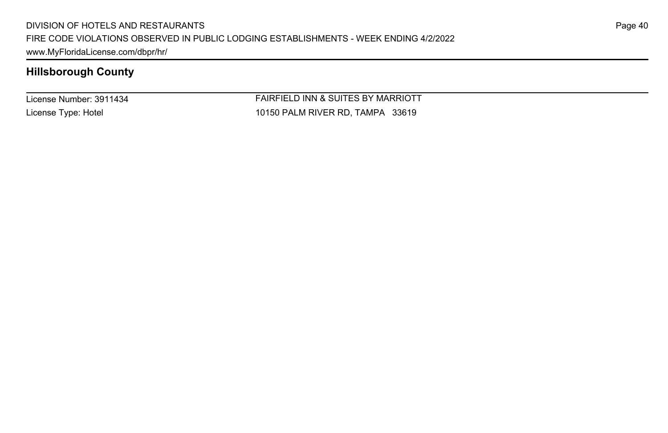License Number: 3911434 License Type: Hotel

FAIRFIELD INN & SUITES BY MARRIOTT 10150 PALM RIVER RD, TAMPA 33619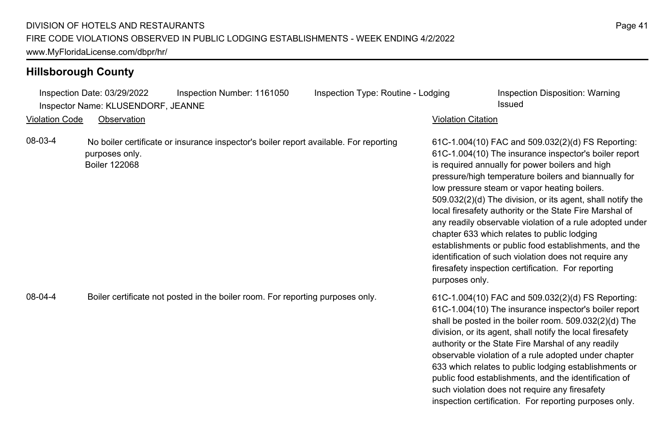|                       | Inspection Date: 03/29/2022<br>Inspector Name: KLUSENDORF, JEANNE | Inspection Number: 1161050                                                            | Inspection Type: Routine - Lodging |                           | Inspection Disposition: Warning<br>Issued                                                                                                                                                                                                                                                                                                                                                                                                                                                                                                                                                                                                                                         |
|-----------------------|-------------------------------------------------------------------|---------------------------------------------------------------------------------------|------------------------------------|---------------------------|-----------------------------------------------------------------------------------------------------------------------------------------------------------------------------------------------------------------------------------------------------------------------------------------------------------------------------------------------------------------------------------------------------------------------------------------------------------------------------------------------------------------------------------------------------------------------------------------------------------------------------------------------------------------------------------|
| <b>Violation Code</b> | Observation                                                       |                                                                                       |                                    | <b>Violation Citation</b> |                                                                                                                                                                                                                                                                                                                                                                                                                                                                                                                                                                                                                                                                                   |
| 08-03-4               | purposes only.<br><b>Boiler 122068</b>                            | No boiler certificate or insurance inspector's boiler report available. For reporting |                                    | purposes only.            | 61C-1.004(10) FAC and 509.032(2)(d) FS Reporting:<br>61C-1.004(10) The insurance inspector's boiler report<br>is required annually for power boilers and high<br>pressure/high temperature boilers and biannually for<br>low pressure steam or vapor heating boilers.<br>509.032(2)(d) The division, or its agent, shall notify the<br>local firesafety authority or the State Fire Marshal of<br>any readily observable violation of a rule adopted under<br>chapter 633 which relates to public lodging<br>establishments or public food establishments, and the<br>identification of such violation does not require any<br>firesafety inspection certification. For reporting |
| 08-04-4               |                                                                   | Boiler certificate not posted in the boiler room. For reporting purposes only.        |                                    |                           | 61C-1.004(10) FAC and 509.032(2)(d) FS Reporting:<br>61C-1.004(10) The insurance inspector's boiler report<br>shall be posted in the boiler room. 509.032(2)(d) The<br>division, or its agent, shall notify the local firesafety<br>authority or the State Fire Marshal of any readily<br>observable violation of a rule adopted under chapter<br>633 which relates to public lodging establishments or<br>public food establishments, and the identification of<br>such violation does not require any firesafety                                                                                                                                                                |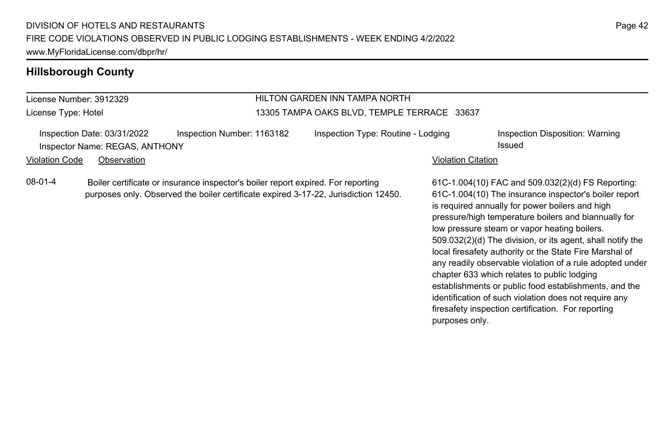#### License Number: 3912329 License Type: Hotel HILTON GARDEN INN TAMPA NORTH 13305 TAMPA OAKS BLVD, TEMPLE TERRACE 33637 Inspection Date: 03/31/2022 Inspection Number: 1163182 Inspection Type: Routine - Lodging Inspection Disposition: Warning Inspector Name: REGAS, ANTHONY **Issued** Violation Code Observation **Violation Code** Observation **Violation** Violation Citation Citation Citation Citation 61C-1.004(10) FAC and 509.032(2)(d) FS Reporting: 61C-1.004(10) The insurance inspector's boiler report is required annually for power boilers and high pressure/high temperature boilers and biannually for low pressure steam or vapor heating boilers. 509.032(2)(d) The division, or its agent, shall notify the local firesafety authority or the State Fire Marshal of any readily observable violation of a rule adopted under chapter 633 which relates to public lodging 08-01-4 Boiler certificate or insurance inspector's boiler report expired. For reporting purposes only. Observed the boiler certificate expired 3-17-22, Jurisdiction 12450.

establishments or public food establishments, and the identification of such violation does not require any firesafety inspection certification. For reporting

purposes only.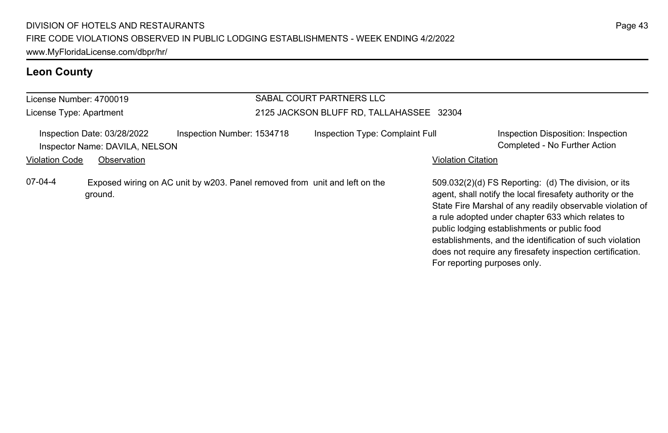# **Leon County**

| License Number: 4700019 |                                                               |                                                                            | SABAL COURT PARTNERS LLC                 |                           |                                                                                                                                                                                                                                                                                                                                                 |  |
|-------------------------|---------------------------------------------------------------|----------------------------------------------------------------------------|------------------------------------------|---------------------------|-------------------------------------------------------------------------------------------------------------------------------------------------------------------------------------------------------------------------------------------------------------------------------------------------------------------------------------------------|--|
| License Type: Apartment |                                                               |                                                                            | 2125 JACKSON BLUFF RD, TALLAHASSEE 32304 |                           |                                                                                                                                                                                                                                                                                                                                                 |  |
|                         | Inspection Date: 03/28/2022<br>Inspector Name: DAVILA, NELSON | Inspection Number: 1534718                                                 | Inspection Type: Complaint Full          |                           | Inspection Disposition: Inspection<br>Completed - No Further Action                                                                                                                                                                                                                                                                             |  |
| <b>Violation Code</b>   | Observation                                                   |                                                                            |                                          | <b>Violation Citation</b> |                                                                                                                                                                                                                                                                                                                                                 |  |
| $07-04-4$               | ground.                                                       | Exposed wiring on AC unit by w203. Panel removed from unit and left on the |                                          |                           | 509.032(2)(d) FS Reporting: (d) The division, or its<br>agent, shall notify the local firesafety authority or the<br>State Fire Marshal of any readily observable violation of<br>a rule adopted under chapter 633 which relates to<br>public lodging establishments or public food<br>establishments, and the identification of such violation |  |

does not require any firesafety inspection certification.

For reporting purposes only.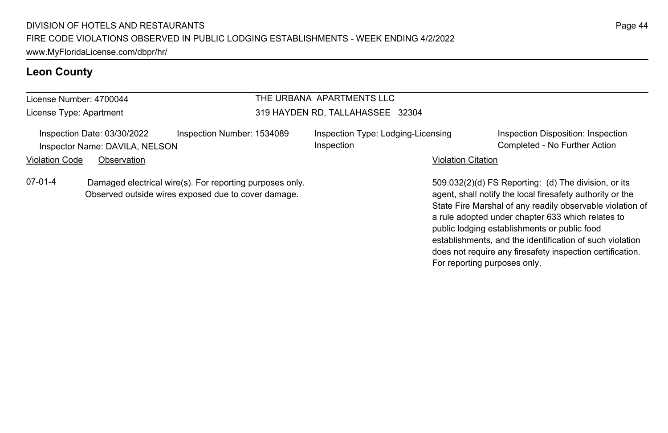## **Leon County**

## THE URBANA APARTMENTS LLC 319 HAYDEN RD, TALLAHASSEE 32304

| Inspection Date: 03/30/2022    | Inspection Number: 1534089 |
|--------------------------------|----------------------------|
| Inspector Name: DAVILA, NELSON |                            |

Inspection Type: Lodging-Licensing Inspection

Inspection Disposition: Inspection Completed - No Further Action

#### Violation Code Observation **Violation Code Observation** Violation Citation Citation Citation Citation Citation Citation Citation Citation Citation Citation Citation Citation Citation Citation Citation Citation Citation Cit

License Number: 4700044 License Type: Apartment

07-01-4 Damaged electrical wire(s). For reporting purposes only. Observed outside wires exposed due to cover damage.

509.032(2)(d) FS Reporting: (d) The division, or its agent, shall notify the local firesafety authority or the State Fire Marshal of any readily observable violation of a rule adopted under chapter 633 which relates to public lodging establishments or public food establishments, and the identification of such violation does not require any firesafety inspection certification. For reporting purposes only.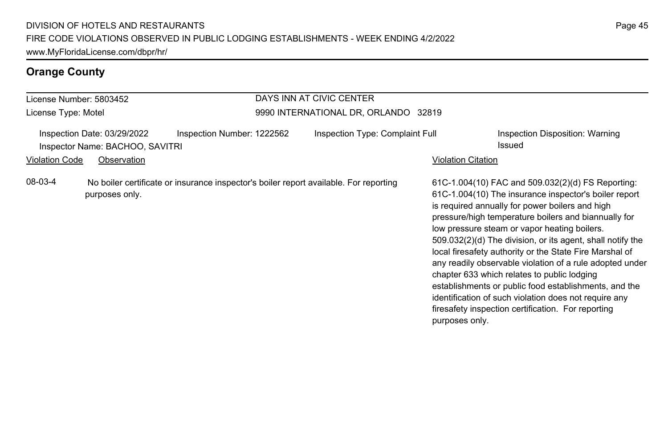| License Number: 5803452                                                                                                              |                | DAYS INN AT CIVIC CENTER                                        |  |                                                                                       |                |                                                                                                                                                                                                                                                                                                                                                                                                                                                                                                                                                                                                                                                                                   |
|--------------------------------------------------------------------------------------------------------------------------------------|----------------|-----------------------------------------------------------------|--|---------------------------------------------------------------------------------------|----------------|-----------------------------------------------------------------------------------------------------------------------------------------------------------------------------------------------------------------------------------------------------------------------------------------------------------------------------------------------------------------------------------------------------------------------------------------------------------------------------------------------------------------------------------------------------------------------------------------------------------------------------------------------------------------------------------|
| License Type: Motel                                                                                                                  |                |                                                                 |  | 9990 INTERNATIONAL DR, ORLANDO 32819                                                  |                |                                                                                                                                                                                                                                                                                                                                                                                                                                                                                                                                                                                                                                                                                   |
| Inspection Date: 03/29/2022<br>Inspection Number: 1222562<br>Inspector Name: BACHOO, SAVITRI<br><b>Violation Code</b><br>Observation |                | Inspection Type: Complaint Full<br>Issued<br>Violation Citation |  | Inspection Disposition: Warning                                                       |                |                                                                                                                                                                                                                                                                                                                                                                                                                                                                                                                                                                                                                                                                                   |
| 08-03-4                                                                                                                              | purposes only. |                                                                 |  | No boiler certificate or insurance inspector's boiler report available. For reporting | purposes only. | 61C-1.004(10) FAC and 509.032(2)(d) FS Reporting:<br>61C-1.004(10) The insurance inspector's boiler report<br>is required annually for power boilers and high<br>pressure/high temperature boilers and biannually for<br>low pressure steam or vapor heating boilers.<br>509.032(2)(d) The division, or its agent, shall notify the<br>local firesafety authority or the State Fire Marshal of<br>any readily observable violation of a rule adopted under<br>chapter 633 which relates to public lodging<br>establishments or public food establishments, and the<br>identification of such violation does not require any<br>firesafety inspection certification. For reporting |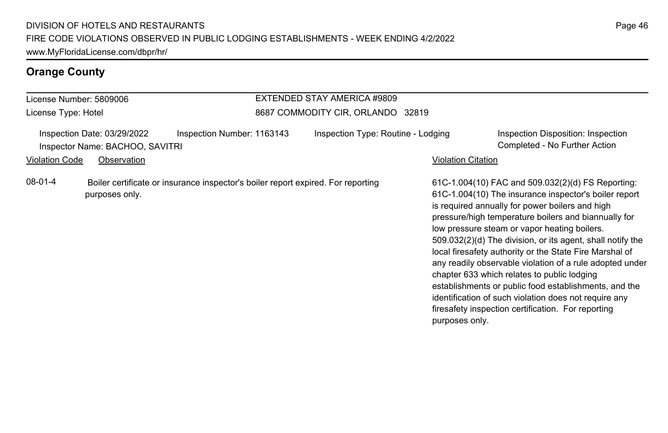#### License Number: 5809006 License Type: Hotel EXTENDED STAY AMERICA #9809 8687 COMMODITY CIR, ORLANDO 32819 Inspection Date: 03/29/2022 Inspection Number: 1163143 Inspection Type: Routine - Lodging Inspection Disposition: Inspection Inspector Name: BACHOO, SAVITRI Completed - No Further Action Violation Code Observation **Violation Code** Observation **Violation** Violation Citation Citation Citation Citation 61C-1.004(10) FAC and 509.032(2)(d) FS Reporting: 61C-1.004(10) The insurance inspector's boiler report is required annually for power boilers and high pressure/high temperature boilers and biannually for low pressure steam or vapor heating boilers. 509.032(2)(d) The division, or its agent, shall notify the local firesafety authority or the State Fire Marshal of any readily observable violation of a rule adopted under chapter 633 which relates to public lodging establishments or public food establishments, and the identification of such violation does not require any firesafety inspection certification. For reporting purposes only. 08-01-4 Boiler certificate or insurance inspector's boiler report expired. For reporting purposes only.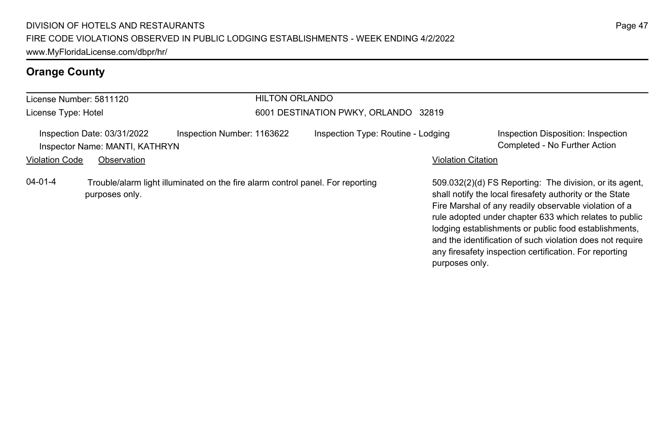|                                                               | License Number: 5811120 | <b>HILTON ORLANDO</b>                                                          |                                      |                                                                                                                                                                                                                                                                                                                                                                                                                                          |
|---------------------------------------------------------------|-------------------------|--------------------------------------------------------------------------------|--------------------------------------|------------------------------------------------------------------------------------------------------------------------------------------------------------------------------------------------------------------------------------------------------------------------------------------------------------------------------------------------------------------------------------------------------------------------------------------|
| License Type: Hotel                                           |                         |                                                                                | 6001 DESTINATION PWKY, ORLANDO 32819 |                                                                                                                                                                                                                                                                                                                                                                                                                                          |
| Inspection Date: 03/31/2022<br>Inspector Name: MANTI, KATHRYN |                         | Inspection Number: 1163622                                                     | Inspection Type: Routine - Lodging   | Inspection Disposition: Inspection<br>Completed - No Further Action                                                                                                                                                                                                                                                                                                                                                                      |
| <b>Violation Code</b>                                         | Observation             |                                                                                |                                      | <b>Violation Citation</b>                                                                                                                                                                                                                                                                                                                                                                                                                |
| $04 - 01 - 4$                                                 | purposes only.          | Trouble/alarm light illuminated on the fire alarm control panel. For reporting |                                      | 509.032(2)(d) FS Reporting: The division, or its agent,<br>shall notify the local firesafety authority or the State<br>Fire Marshal of any readily observable violation of a<br>rule adopted under chapter 633 which relates to public<br>lodging establishments or public food establishments,<br>and the identification of such violation does not require<br>any firesafety inspection certification. For reporting<br>purposes only. |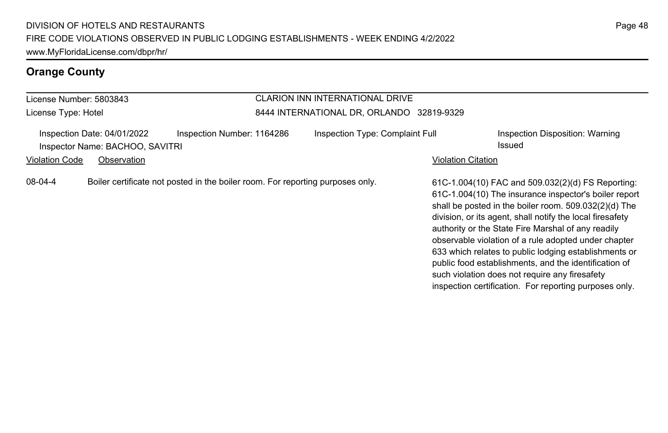| License Number: 5803843                                        |                                                                                | CLARION INN INTERNATIONAL DRIVE           |                                                                                                                                                                                                                                                                                                                                                                                                                                                                                                                    |
|----------------------------------------------------------------|--------------------------------------------------------------------------------|-------------------------------------------|--------------------------------------------------------------------------------------------------------------------------------------------------------------------------------------------------------------------------------------------------------------------------------------------------------------------------------------------------------------------------------------------------------------------------------------------------------------------------------------------------------------------|
| License Type: Hotel                                            |                                                                                | 8444 INTERNATIONAL DR, ORLANDO 32819-9329 |                                                                                                                                                                                                                                                                                                                                                                                                                                                                                                                    |
| Inspection Date: 04/01/2022<br>Inspector Name: BACHOO, SAVITRI | Inspection Number: 1164286                                                     | Inspection Type: Complaint Full           | Inspection Disposition: Warning<br>Issued                                                                                                                                                                                                                                                                                                                                                                                                                                                                          |
| <b>Violation Code</b><br>Observation                           |                                                                                |                                           | <b>Violation Citation</b>                                                                                                                                                                                                                                                                                                                                                                                                                                                                                          |
| 08-04-4                                                        | Boiler certificate not posted in the boiler room. For reporting purposes only. |                                           | 61C-1.004(10) FAC and 509.032(2)(d) FS Reporting:<br>61C-1.004(10) The insurance inspector's boiler report<br>shall be posted in the boiler room. 509.032(2)(d) The<br>division, or its agent, shall notify the local firesafety<br>authority or the State Fire Marshal of any readily<br>observable violation of a rule adopted under chapter<br>633 which relates to public lodging establishments or<br>public food establishments, and the identification of<br>such violation does not require any firesafety |

inspection certification. For reporting purposes only.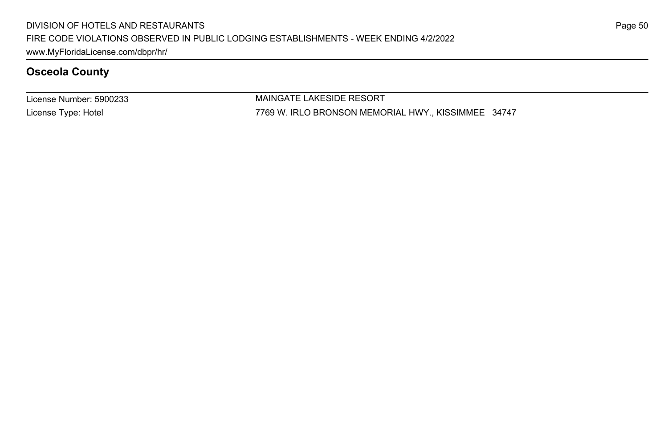License Number: 5900233 License Type: Hotel

MAINGATE LAKESIDE RESORT 7769 W. IRLO BRONSON MEMORIAL HWY., KISSIMMEE 34747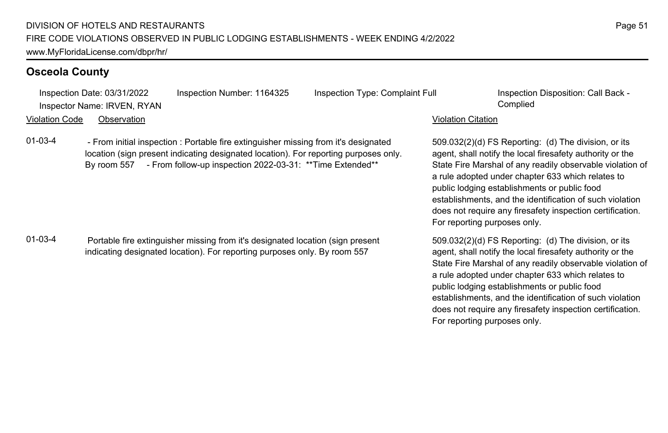Inspection Date: 03/31/2022 Inspection Number: 1164325 Inspection Type: Complaint Full Inspection Disposition: Call Back - Inspector Name: IRVEN, RYAN Complied Violation Code Observation Violation Citation 01-03-4 - From initial inspection : Portable fire extinguisher missing from it's designated location (sign present indicating designated location). For reporting purposes only. By room 557 - From follow-up inspection 2022-03-31: \*\*Time Extended\*\*

01-03-4 Portable fire extinguisher missing from it's designated location (sign present indicating designated location). For reporting purposes only. By room 557

509.032(2)(d) FS Reporting: (d) The division, or its agent, shall notify the local firesafety authority or the State Fire Marshal of any readily observable violation of a rule adopted under chapter 633 which relates to public lodging establishments or public food establishments, and the identification of such violation does not require any firesafety inspection certification. For reporting purposes only.

509.032(2)(d) FS Reporting: (d) The division, or its agent, shall notify the local firesafety authority or the State Fire Marshal of any readily observable violation of a rule adopted under chapter 633 which relates to public lodging establishments or public food establishments, and the identification of such violation does not require any firesafety inspection certification. For reporting purposes only.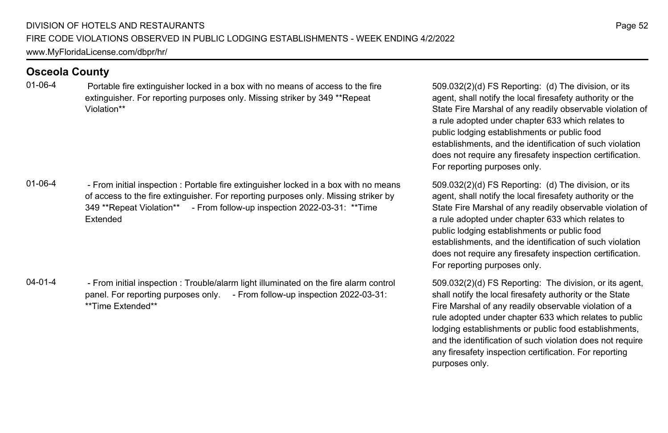01-06-4 Portable fire extinguisher locked in a box with no means of access to the fire extinguisher. For reporting purposes only. Missing striker by 349 \*\*Repeat Violation\*\*

01-06-4 - From initial inspection : Portable fire extinguisher locked in a box with no means of access to the fire extinguisher. For reporting purposes only. Missing striker by 349 \*\*Repeat Violation\*\* - From follow-up inspection 2022-03-31: \*\*Time Extended

04-01-4 - From initial inspection : Trouble/alarm light illuminated on the fire alarm control panel. For reporting purposes only. - From follow-up inspection 2022-03-31: \*\*Time Extended\*\*

509.032(2)(d) FS Reporting: (d) The division, or its agent, shall notify the local firesafety authority or the State Fire Marshal of any readily observable violation of a rule adopted under chapter 633 which relates to public lodging establishments or public food establishments, and the identification of such violation does not require any firesafety inspection certification. For reporting purposes only.

509.032(2)(d) FS Reporting: (d) The division, or its agent, shall notify the local firesafety authority or the State Fire Marshal of any readily observable violation of a rule adopted under chapter 633 which relates to public lodging establishments or public food establishments, and the identification of such violation does not require any firesafety inspection certification. For reporting purposes only.

509.032(2)(d) FS Reporting: The division, or its agent, shall notify the local firesafety authority or the State Fire Marshal of any readily observable violation of a rule adopted under chapter 633 which relates to public lodging establishments or public food establishments, and the identification of such violation does not require any firesafety inspection certification. For reporting purposes only.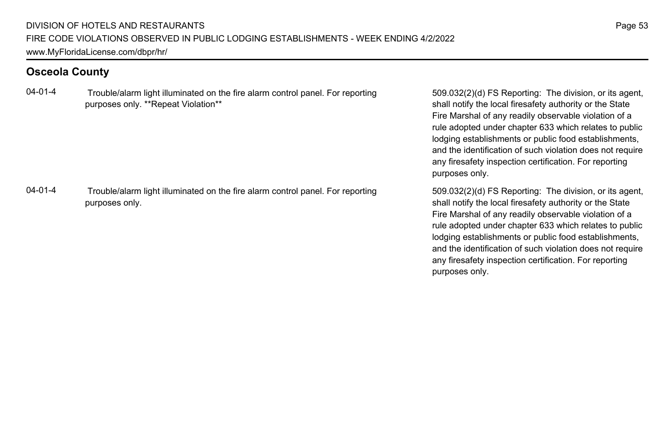04-01-4 Trouble/alarm light illuminated on the fire alarm control panel. For reporting purposes only. \*\*Repeat Violation\*\*

04-01-4 Trouble/alarm light illuminated on the fire alarm control panel. For reporting purposes only.

509.032(2)(d) FS Reporting: The division, or its agent, shall notify the local firesafety authority or the State Fire Marshal of any readily observable violation of a rule adopted under chapter 633 which relates to public lodging establishments or public food establishments, and the identification of such violation does not require any firesafety inspection certification. For reporting purposes only.

509.032(2)(d) FS Reporting: The division, or its agent, shall notify the local firesafety authority or the State Fire Marshal of any readily observable violation of a rule adopted under chapter 633 which relates to public lodging establishments or public food establishments, and the identification of such violation does not require any firesafety inspection certification. For reporting purposes only.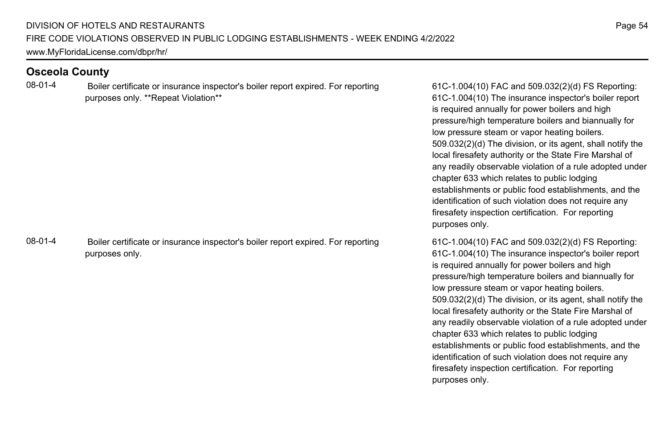08-01-4 Boiler certificate or insurance inspector's boiler report expired. For reporting purposes only. \*\*Repeat Violation\*\*

08-01-4 Boiler certificate or insurance inspector's boiler report expired. For reporting purposes only.

61C-1.004(10) FAC and 509.032(2)(d) FS Reporting: 61C-1.004(10) The insurance inspector's boiler report is required annually for power boilers and high pressure/high temperature boilers and biannually for low pressure steam or vapor heating boilers. 509.032(2)(d) The division, or its agent, shall notify the local firesafety authority or the State Fire Marshal of any readily observable violation of a rule adopted under chapter 633 which relates to public lodging establishments or public food establishments, and the identification of such violation does not require any firesafety inspection certification. For reporting purposes only.

61C-1.004(10) FAC and 509.032(2)(d) FS Reporting: 61C-1.004(10) The insurance inspector's boiler report is required annually for power boilers and high pressure/high temperature boilers and biannually for low pressure steam or vapor heating boilers. 509.032(2)(d) The division, or its agent, shall notify the local firesafety authority or the State Fire Marshal of any readily observable violation of a rule adopted under chapter 633 which relates to public lodging establishments or public food establishments, and the identification of such violation does not require any firesafety inspection certification. For reporting purposes only.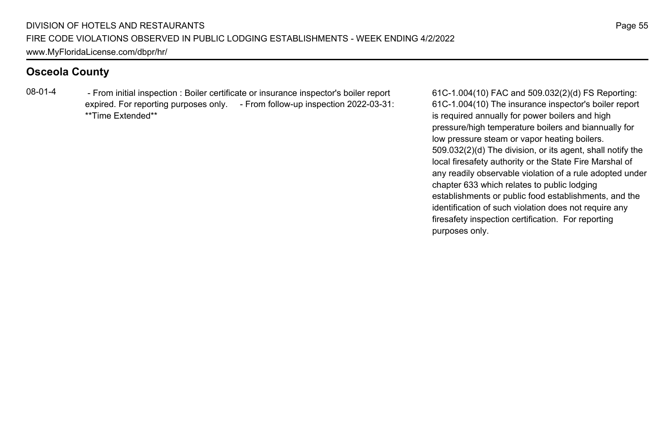08-01-4 - From initial inspection : Boiler certificate or insurance inspector's boiler report expired. For reporting purposes only. - From follow-up inspection 2022-03-31: \*\*Time Extended\*\*

61C-1.004(10) FAC and 509.032(2)(d) FS Reporting: 61C-1.004(10) The insurance inspector's boiler report is required annually for power boilers and high pressure/high temperature boilers and biannually for low pressure steam or vapor heating boilers. 509.032(2)(d) The division, or its agent, shall notify the local firesafety authority or the State Fire Marshal of any readily observable violation of a rule adopted under chapter 633 which relates to public lodging establishments or public food establishments, and the identification of such violation does not require any firesafety inspection certification. For reporting purposes only.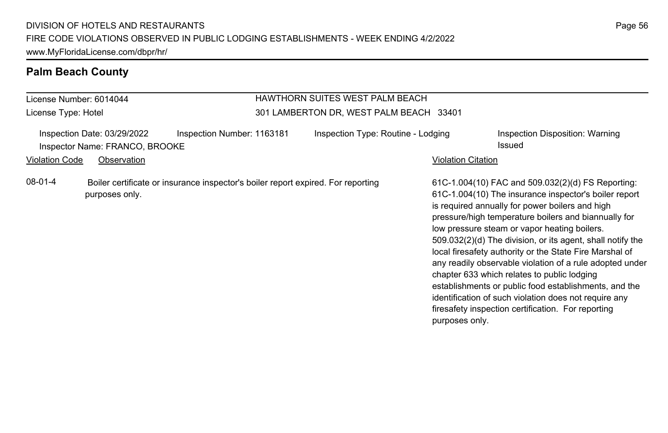| <b>HAWTHORN SUITES WEST PALM BEACH</b><br>License Number: 6014044<br>301 LAMBERTON DR, WEST PALM BEACH 33401<br>License Type: Hotel |                                                                              |                                                                                  |                                    |                    |                                                                                                                                                                                                                                                                                                                                                                                                                                                                                                                                                                                                                                                                                   |
|-------------------------------------------------------------------------------------------------------------------------------------|------------------------------------------------------------------------------|----------------------------------------------------------------------------------|------------------------------------|--------------------|-----------------------------------------------------------------------------------------------------------------------------------------------------------------------------------------------------------------------------------------------------------------------------------------------------------------------------------------------------------------------------------------------------------------------------------------------------------------------------------------------------------------------------------------------------------------------------------------------------------------------------------------------------------------------------------|
| <b>Violation Code</b>                                                                                                               | Inspection Date: 03/29/2022<br>Inspector Name: FRANCO, BROOKE<br>Observation | Inspection Number: 1163181                                                       | Inspection Type: Routine - Lodging | Violation Citation | Inspection Disposition: Warning<br>Issued                                                                                                                                                                                                                                                                                                                                                                                                                                                                                                                                                                                                                                         |
| 08-01-4                                                                                                                             | purposes only.                                                               | Boiler certificate or insurance inspector's boiler report expired. For reporting |                                    | purposes only.     | 61C-1.004(10) FAC and 509.032(2)(d) FS Reporting:<br>61C-1.004(10) The insurance inspector's boiler report<br>is required annually for power boilers and high<br>pressure/high temperature boilers and biannually for<br>low pressure steam or vapor heating boilers.<br>509.032(2)(d) The division, or its agent, shall notify the<br>local firesafety authority or the State Fire Marshal of<br>any readily observable violation of a rule adopted under<br>chapter 633 which relates to public lodging<br>establishments or public food establishments, and the<br>identification of such violation does not require any<br>firesafety inspection certification. For reporting |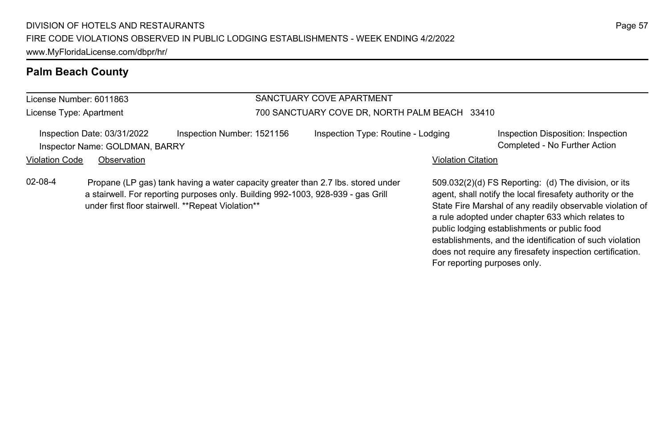#### License Number: 6011863 License Type: Apartment SANCTUARY COVE APARTMENT 700 SANCTUARY COVE DR, NORTH PALM BEACH 33410 Inspection Date: 03/31/2022 Inspection Number: 1521156 Inspection Type: Routine - Lodging Inspection Disposition: Inspection Inspector Name: GOLDMAN, BARRY Completed - No Further Action Violation Code Observation **Violation Code Observation** Violation Citation Citation Citation Citation Citation Citation Citation Citation Citation Citation Citation Citation Citation Citation Citation Citation Citation Cit 509.032(2)(d) FS Reporting: (d) The division, or its agent, shall notify the local firesafety authority or the State Fire Marshal of any readily observable violation of a rule adopted under chapter 633 which relates to public lodging establishments or public food 02-08-4 Propane (LP gas) tank having a water capacity greater than 2.7 lbs. stored under a stairwell. For reporting purposes only. Building 992-1003, 928-939 - gas Grill under first floor stairwell. \*\*Repeat Violation\*\*

Page 57

establishments, and the identification of such violation does not require any firesafety inspection certification.

For reporting purposes only.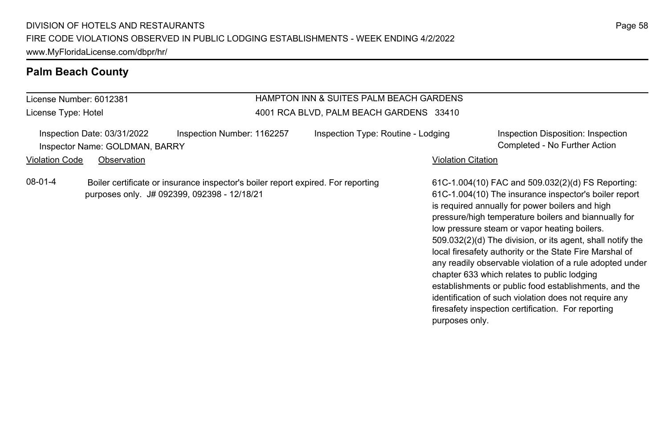License Number: 6012381 License Type: Hotel

### HAMPTON INN & SUITES PALM BEACH GARDENS 4001 RCA BLVD, PALM BEACH GARDENS 33410

|                | Inspection Date: 03/31/2022    | Inspection Number: 1162257                                                       | Inspection Type: Routine - Lodging |                           | Inspection Disposition: Inspection                    |
|----------------|--------------------------------|----------------------------------------------------------------------------------|------------------------------------|---------------------------|-------------------------------------------------------|
|                | Inspector Name: GOLDMAN, BARRY |                                                                                  |                                    |                           | Completed - No Further Action                         |
| Violation Code | Observation                    |                                                                                  |                                    | <b>Violation Citation</b> |                                                       |
| 08-01-4        |                                | Boiler certificate or insurance inspector's boiler report expired. For reporting |                                    |                           | 61C-1.004(10) FAC and 509.032(2)(d) FS Reporting      |
|                |                                | purposes only. J# 092399, 092398 - 12/18/21                                      |                                    |                           | 61C-1.004(10) The insurance inspector's boiler report |

61C-1.004(10) FAC and 509.032(2)(d) FS Reporting: 61C-1.004(10) The insurance inspector's boiler report is required annually for power boilers and high pressure/high temperature boilers and biannually for low pressure steam or vapor heating boilers. 509.032(2)(d) The division, or its agent, shall notify the local firesafety authority or the State Fire Marshal of any readily observable violation of a rule adopted under chapter 633 which relates to public lodging establishments or public food establishments, and the identification of such violation does not require any firesafety inspection certification. For reporting purposes only.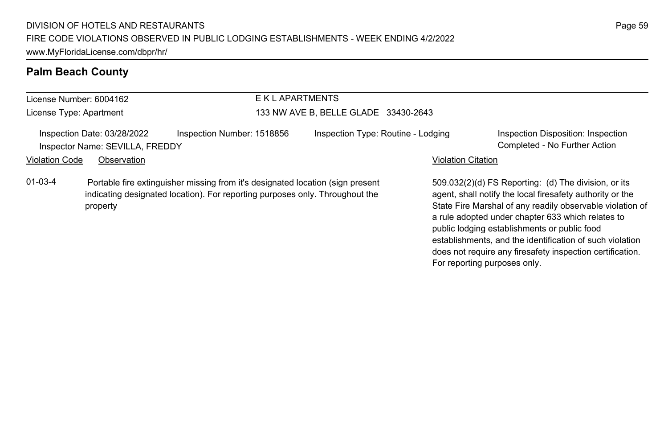#### License Number: 6004162 License Type: Apartment E K L APARTMENTS 133 NW AVE B, BELLE GLADE 33430-2643 Inspection Date: 03/28/2022 Inspection Number: 1518856 Inspection Type: Routine - Lodging Inspection Disposition: Inspection Inspector Name: SEVILLA, FREDDY Completed - No Further Action Violation Code Observation **Violation Code Observation** Violation Citation Citation Citation Citation Citation Citation Citation Citation Citation Citation Citation Citation Citation Citation Citation Citation Citation Cit 509.032(2)(d) FS Reporting: (d) The division, or its agent, shall notify the local firesafety authority or the State Fire Marshal of any readily observable violation of a rule adopted under chapter 633 which relates to 01-03-4 Portable fire extinguisher missing from it's designated location (sign present indicating designated location). For reporting purposes only. Throughout the property

public lodging establishments or public food

For reporting purposes only.

establishments, and the identification of such violation does not require any firesafety inspection certification.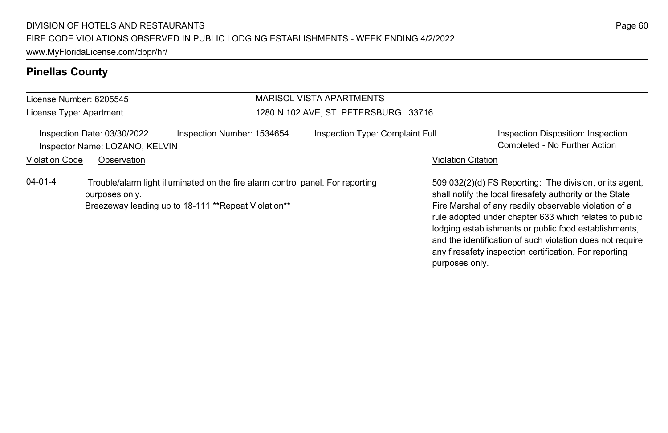## **Pinellas County**

#### License Number: 6205545 License Type: Apartment MARISOL VISTA APARTMENTS 1280 N 102 AVE, ST. PETERSBURG 33716 Inspection Date: 03/30/2022 Inspection Number: 1534654 Inspection Type: Complaint Full Inspection Disposition: Inspection Inspector Name: LOZANO, KELVIN Completed - No Further Action Violation Code Observation **Violation Code Observation** Violation Citation Citation Citation Citation Citation Citation Citation Citation Citation Citation Citation Citation Citation Citation Citation Citation Citation Cit 509.032(2)(d) FS Reporting: The division, or its agent, shall notify the local firesafety authority or the State Fire Marshal of any readily observable violation of a rule adopted under chapter 633 which relates to public lodging establishments or public food establishments, and the identification of such violation does not require any firesafety inspection certification. For reporting 04-01-4 Trouble/alarm light illuminated on the fire alarm control panel. For reporting purposes only. Breezeway leading up to 18-111 \*\*Repeat Violation\*\*

purposes only.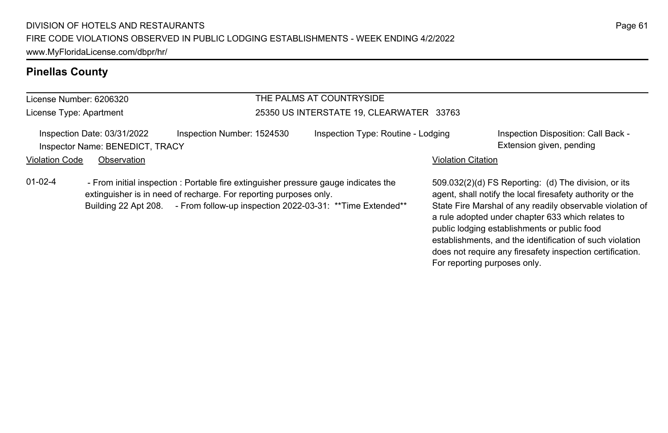## **Pinellas County**

#### License Number: 6206320 License Type: Apartment THE PALMS AT COUNTRYSIDE 25350 US INTERSTATE 19, CLEARWATER 33763 Inspection Date: 03/31/2022 Inspection Number: 1524530 Inspection Type: Routine - Lodging Inspection Disposition: Call Back -Inspector Name: BENEDICT, TRACY **Extension given, pending** Violation Code Observation **Violation Code Observation** Violation Citation Citation Citation Citation Citation Citation Citation Citation Citation Citation Citation Citation Citation Citation Citation Citation Citation Cit 509.032(2)(d) FS Reporting: (d) The division, or its agent, shall notify the local firesafety authority or the State Fire Marshal of any readily observable violation of a rule adopted under chapter 633 which relates to 01-02-4 - From initial inspection : Portable fire extinguisher pressure gauge indicates the extinguisher is in need of recharge. For reporting purposes only. Building 22 Apt 208. - From follow-up inspection 2022-03-31: \*\* Time Extended\*\*

public lodging establishments or public food

For reporting purposes only.

establishments, and the identification of such violation does not require any firesafety inspection certification.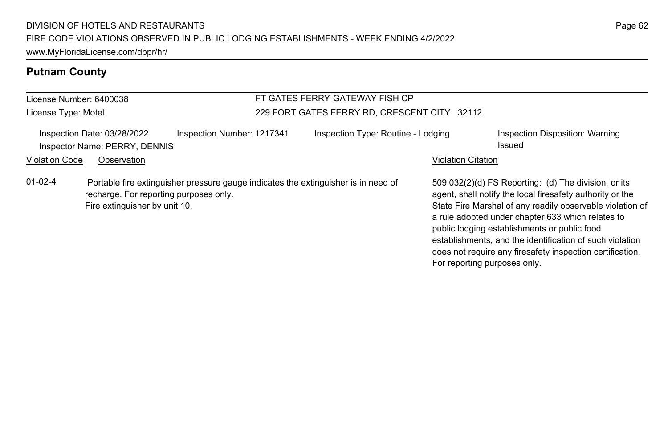# **Putnam County**

| License Number: 6400038 |                                                                                                                                                               |                            | FT GATES FERRY-GATEWAY FISH CP |                                              |  |                              |                                                                                                                                                                                                                                                                                                                                                                                                              |
|-------------------------|---------------------------------------------------------------------------------------------------------------------------------------------------------------|----------------------------|--------------------------------|----------------------------------------------|--|------------------------------|--------------------------------------------------------------------------------------------------------------------------------------------------------------------------------------------------------------------------------------------------------------------------------------------------------------------------------------------------------------------------------------------------------------|
| License Type: Motel     |                                                                                                                                                               |                            |                                | 229 FORT GATES FERRY RD. CRESCENT CITY 32112 |  |                              |                                                                                                                                                                                                                                                                                                                                                                                                              |
| <b>Violation Code</b>   | Inspection Date: 03/28/2022<br>Inspector Name: PERRY, DENNIS<br>Observation                                                                                   | Inspection Number: 1217341 |                                | Inspection Type: Routine - Lodging           |  | <b>Violation Citation</b>    | Inspection Disposition: Warning<br>Issued                                                                                                                                                                                                                                                                                                                                                                    |
| $01 - 02 - 4$           | Portable fire extinguisher pressure gauge indicates the extinguisher is in need of<br>recharge. For reporting purposes only.<br>Fire extinguisher by unit 10. |                            |                                |                                              |  | For reporting purposes only. | 509.032(2)(d) FS Reporting: (d) The division, or its<br>agent, shall notify the local firesafety authority or the<br>State Fire Marshal of any readily observable violation of<br>a rule adopted under chapter 633 which relates to<br>public lodging establishments or public food<br>establishments, and the identification of such violation<br>does not require any firesafety inspection certification. |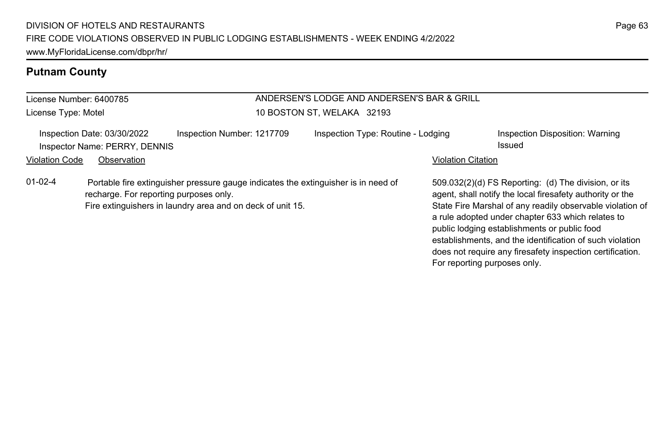# **Putnam County**

| License Number: 6400785                                                                                           |                                                                                    | ANDERSEN'S LODGE AND ANDERSEN'S BAR & GRILL |                                                                                                                                                                                                                                                                                                                                                                                                              |
|-------------------------------------------------------------------------------------------------------------------|------------------------------------------------------------------------------------|---------------------------------------------|--------------------------------------------------------------------------------------------------------------------------------------------------------------------------------------------------------------------------------------------------------------------------------------------------------------------------------------------------------------------------------------------------------------|
| License Type: Motel                                                                                               | 10 BOSTON ST. WELAKA 32193                                                         |                                             |                                                                                                                                                                                                                                                                                                                                                                                                              |
| Inspection Date: 03/30/2022<br>Inspector Name: PERRY, DENNIS                                                      | Inspection Number: 1217709                                                         | Inspection Type: Routine - Lodging          | Inspection Disposition: Warning<br>Issued                                                                                                                                                                                                                                                                                                                                                                    |
| <b>Violation Code</b><br>Observation                                                                              |                                                                                    | <b>Violation Citation</b>                   |                                                                                                                                                                                                                                                                                                                                                                                                              |
| $01-02-4$<br>recharge. For reporting purposes only.<br>Fire extinguishers in laundry area and on deck of unit 15. | Portable fire extinguisher pressure gauge indicates the extinguisher is in need of | For reporting purposes only.                | 509.032(2)(d) FS Reporting: (d) The division, or its<br>agent, shall notify the local firesafety authority or the<br>State Fire Marshal of any readily observable violation of<br>a rule adopted under chapter 633 which relates to<br>public lodging establishments or public food<br>establishments, and the identification of such violation<br>does not require any firesafety inspection certification. |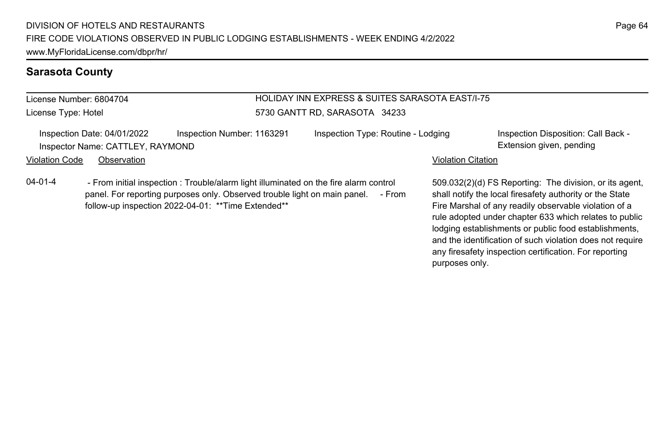#### **Sarasota County**

#### License Number: 6804704 License Type: Hotel

## HOLIDAY INN EXPRESS & SUITES SARASOTA EAST/I-75 5730 GANTT RD, SARASOTA 34233

Inspection Date: 04/01/2022 Inspection Number: 1163291 Inspection Type: Routine - Lodging Inspection Disposition: Call Back -Inspector Name: CATTLEY, RAYMOND **Extension given, pending** 

#### Violation Code Observation **Violation Code Observation** Violation Citation Citation Citation Citation Citation Citation Citation Citation Citation Citation Citation Citation Citation Citation Citation Citation Citation Cit

04-01-4 - From initial inspection : Trouble/alarm light illuminated on the fire alarm control panel. For reporting purposes only. Observed trouble light on main panel. - From follow-up inspection 2022-04-01: \*\*Time Extended\*\*

509.032(2)(d) FS Reporting: The division, or its agent, shall notify the local firesafety authority or the State Fire Marshal of any readily observable violation of a rule adopted under chapter 633 which relates to public lodging establishments or public food establishments, and the identification of such violation does not require any firesafety inspection certification. For reporting purposes only.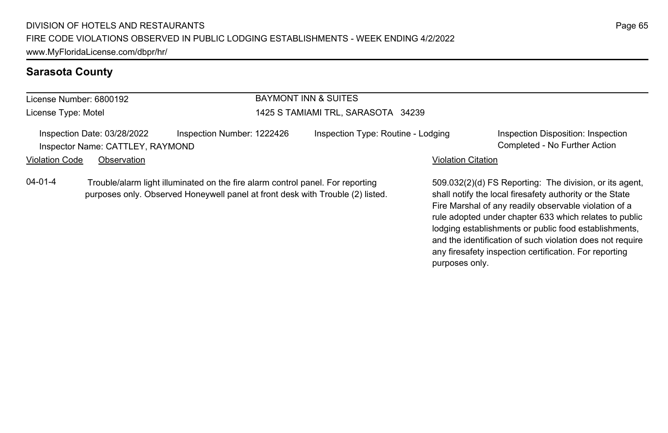## **Sarasota County**

| License Number: 6800192 |                                                                                                                                                                  |                            | <b>BAYMONT INN &amp; SUITES</b>    |                           |                                                                                                                  |  |  |
|-------------------------|------------------------------------------------------------------------------------------------------------------------------------------------------------------|----------------------------|------------------------------------|---------------------------|------------------------------------------------------------------------------------------------------------------|--|--|
| License Type: Motel     |                                                                                                                                                                  |                            | 1425 S TAMIAMI TRL, SARASOTA 34239 |                           |                                                                                                                  |  |  |
|                         | Inspection Date: 03/28/2022<br>Inspector Name: CATTLEY, RAYMOND                                                                                                  | Inspection Number: 1222426 | Inspection Type: Routine - Lodging |                           | Inspection Disposition: Inspection<br>Completed - No Further Action                                              |  |  |
| Violation Code          | Observation                                                                                                                                                      |                            |                                    | <b>Violation Citation</b> |                                                                                                                  |  |  |
| 04-01-4                 | Trouble/alarm light illuminated on the fire alarm control panel. For reporting<br>purposes only. Observed Honeywell panel at front desk with Trouble (2) listed. |                            |                                    |                           | 509.032(2)(d) FS Reporting: The division, or its age<br>shall notify the local firesafety authority or the State |  |  |

sion, or its agent, shall notify the local firesafety authority or the State Fire Marshal of any readily observable violation of a rule adopted under chapter 633 which relates to public lodging establishments or public food establishments, and the identification of such violation does not require any firesafety inspection certification. For reporting purposes only.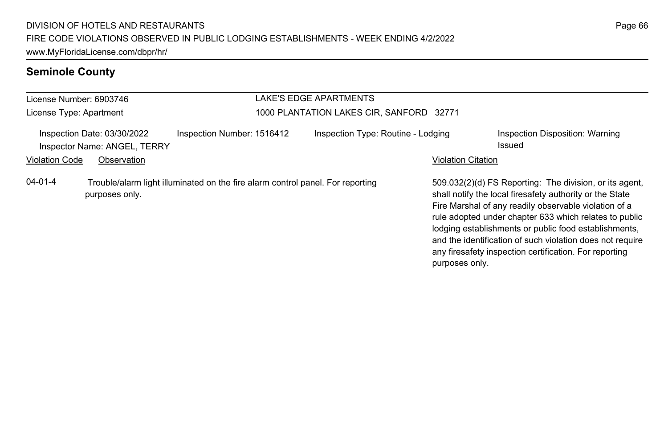# **Seminole County**

| License Number: 6903746                                     |                |                                                                                | LAKE'S EDGE APARTMENTS                   |                           |                                                                                                                                                                                                                                                                                                                                                                                                                        |
|-------------------------------------------------------------|----------------|--------------------------------------------------------------------------------|------------------------------------------|---------------------------|------------------------------------------------------------------------------------------------------------------------------------------------------------------------------------------------------------------------------------------------------------------------------------------------------------------------------------------------------------------------------------------------------------------------|
| License Type: Apartment                                     |                |                                                                                | 1000 PLANTATION LAKES CIR, SANFORD 32771 |                           |                                                                                                                                                                                                                                                                                                                                                                                                                        |
| Inspection Date: 03/30/2022<br>Inspector Name: ANGEL, TERRY |                | Inspection Number: 1516412                                                     | Inspection Type: Routine - Lodging       |                           | Inspection Disposition: Warning<br>Issued                                                                                                                                                                                                                                                                                                                                                                              |
| <b>Violation Code</b>                                       | Observation    |                                                                                |                                          | <b>Violation Citation</b> |                                                                                                                                                                                                                                                                                                                                                                                                                        |
| $04 - 01 - 4$                                               | purposes only. | Trouble/alarm light illuminated on the fire alarm control panel. For reporting |                                          | purposes only.            | 509.032(2)(d) FS Reporting: The division, or its agent,<br>shall notify the local firesafety authority or the State<br>Fire Marshal of any readily observable violation of a<br>rule adopted under chapter 633 which relates to public<br>lodging establishments or public food establishments,<br>and the identification of such violation does not require<br>any firesafety inspection certification. For reporting |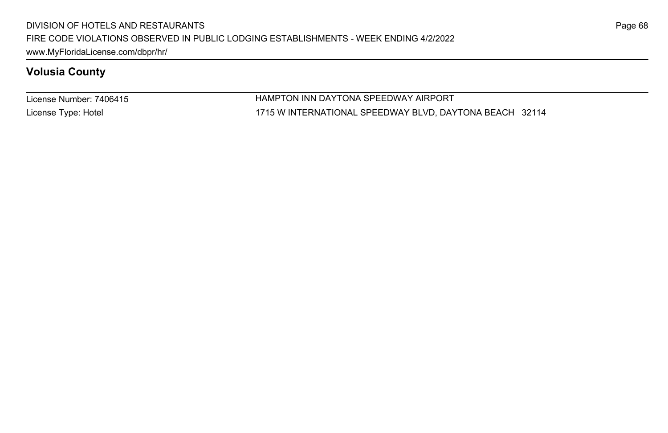License Number: 7406415 License Type: Hotel

HAMPTON INN DAYTONA SPEEDWAY AIRPORT 1715 W INTERNATIONAL SPEEDWAY BLVD, DAYTONA BEACH 32114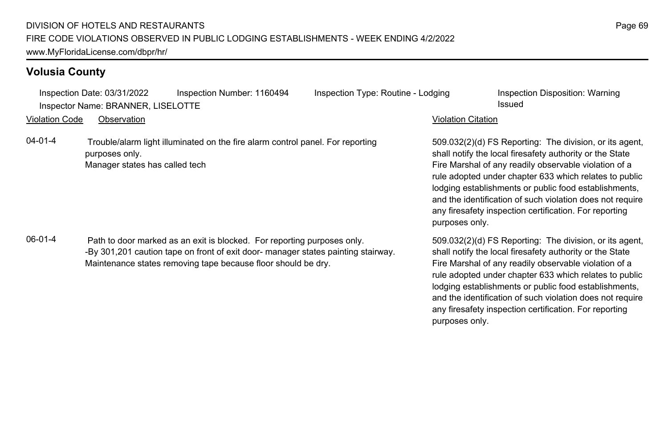Inspection Date: 03/31/2022 Inspection Number: 1160494 Inspection Type: Routine - Lodging Inspection Disposition: Warning Inspector Name: BRANNER, LISELOTTE **Inspector Name: BRANNER, LISELOTTE** 

Violation Code Observation Violation Citation

04-01-4 Trouble/alarm light illuminated on the fire alarm control panel. For reporting purposes only. Manager states has called tech

06-01-4 Path to door marked as an exit is blocked. For reporting purposes only. -By 301,201 caution tape on front of exit door- manager states painting stairway. Maintenance states removing tape because floor should be dry.

509.032(2)(d) FS Reporting: The division, or its agent, shall notify the local firesafety authority or the State Fire Marshal of any readily observable violation of a rule adopted under chapter 633 which relates to public lodging establishments or public food establishments, and the identification of such violation does not require any firesafety inspection certification. For reporting purposes only.

509.032(2)(d) FS Reporting: The division, or its agent, shall notify the local firesafety authority or the State Fire Marshal of any readily observable violation of a rule adopted under chapter 633 which relates to public lodging establishments or public food establishments, and the identification of such violation does not require any firesafety inspection certification. For reporting purposes only.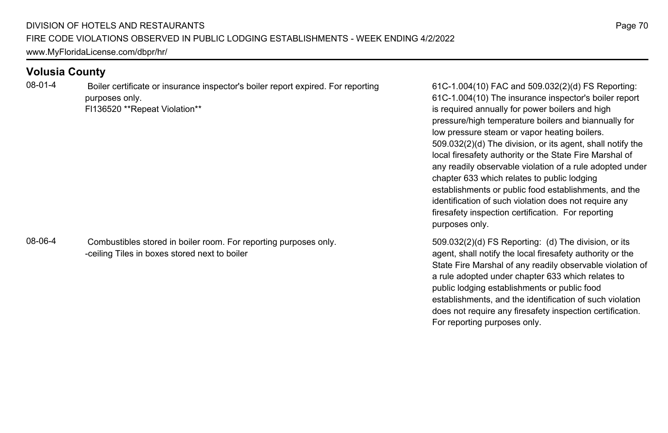08-01-4 Boiler certificate or insurance inspector's boiler report expired. For reporting purposes only. Fl136520 \*\*Repeat Violation\*\*

08-06-4 Combustibles stored in boiler room. For reporting purposes only. -ceiling Tiles in boxes stored next to boiler

61C-1.004(10) FAC and 509.032(2)(d) FS Reporting: 61C-1.004(10) The insurance inspector's boiler report is required annually for power boilers and high pressure/high temperature boilers and biannually for low pressure steam or vapor heating boilers. 509.032(2)(d) The division, or its agent, shall notify the local firesafety authority or the State Fire Marshal of any readily observable violation of a rule adopted under chapter 633 which relates to public lodging establishments or public food establishments, and the identification of such violation does not require any firesafety inspection certification. For reporting purposes only.

509.032(2)(d) FS Reporting: (d) The division, or its agent, shall notify the local firesafety authority or the State Fire Marshal of any readily observable violation of a rule adopted under chapter 633 which relates to public lodging establishments or public food establishments, and the identification of such violation does not require any firesafety inspection certification. For reporting purposes only.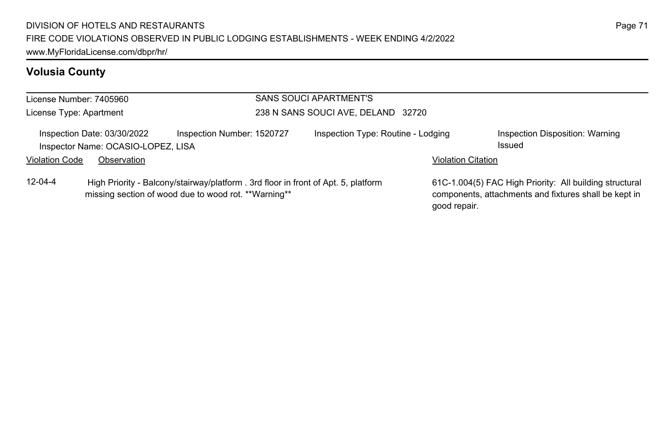| License Number: 7405960                                                                                                                                     |             |  | SANS SOUCI APARTMENT'S             |  |  |                                                                                                                                  |  |  |
|-------------------------------------------------------------------------------------------------------------------------------------------------------------|-------------|--|------------------------------------|--|--|----------------------------------------------------------------------------------------------------------------------------------|--|--|
| License Type: Apartment                                                                                                                                     |             |  | 238 N SANS SOUCI AVE, DELAND 32720 |  |  |                                                                                                                                  |  |  |
| Inspection Number: 1520727<br>Inspection Date: 03/30/2022<br>Inspector Name: OCASIO-LOPEZ, LISA                                                             |             |  | Inspection Type: Routine - Lodging |  |  | Inspection Disposition: Warning<br>Issued                                                                                        |  |  |
| <b>Violation Code</b>                                                                                                                                       | Observation |  |                                    |  |  | <b>Violation Citation</b>                                                                                                        |  |  |
| $12 - 04 - 4$<br>High Priority - Balcony/stairway/platform . 3rd floor in front of Apt. 5, platform<br>missing section of wood due to wood rot. **Warning** |             |  |                                    |  |  | 61C-1.004(5) FAC High Priority: All building structural<br>components, attachments and fixtures shall be kept in<br>good repair. |  |  |